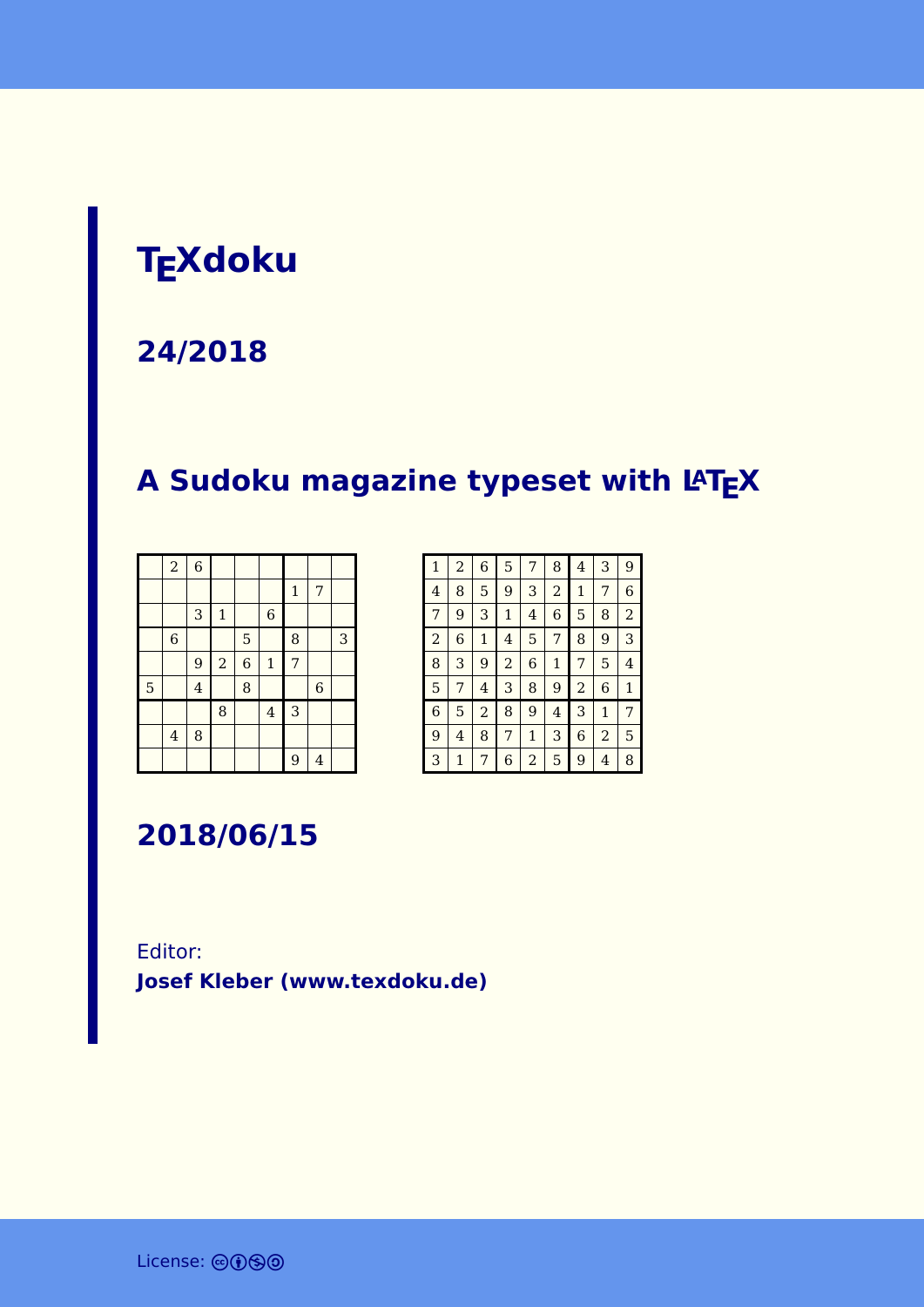### **TEXdoku**

**24/2018**

### **A Sudoku magazine typeset with LATEX**

|   | $\boldsymbol{2}$        | $\overline{6}$ |                |                |                |              |                |   |
|---|-------------------------|----------------|----------------|----------------|----------------|--------------|----------------|---|
|   |                         |                |                |                |                | $\mathbf{1}$ | 7              |   |
|   |                         | 3              | $\mathbf 1$    |                | $\,$ 6 $\,$    |              |                |   |
|   | $\,$ 6 $\,$             |                |                | 5              |                | 8            |                | 3 |
|   |                         | 9              | $\overline{a}$ | $\overline{6}$ | $\mathbf 1$    | 7            |                |   |
| 5 |                         | $\overline{4}$ |                | 8              |                |              | $\overline{6}$ |   |
|   |                         |                | 8              |                | $\overline{4}$ | 3            |                |   |
|   | $\overline{\mathbf{4}}$ | 8              |                |                |                |              |                |   |
|   |                         |                |                |                |                | 9            | $\overline{4}$ |   |

| $\mathbf{1}$   | $\overline{a}$ | 6            | 5              | 7 | 8            | 4              | 3              | 9              |
|----------------|----------------|--------------|----------------|---|--------------|----------------|----------------|----------------|
| 4              | 8              | 5            | 9              | 3 | 2            | 1              | 7              | 6              |
| 7              | 9              | 3            | $\mathbf{1}$   | 4 | 6            | 5              | 8              | $\overline{a}$ |
| $\overline{a}$ | 6              | $\mathbf{1}$ | 4              | 5 | 7            | 8              | 9              | 3              |
| 8              | 3              | 9            | $\overline{2}$ | 6 | $\mathbf{1}$ | 7              | 5              | 4              |
| 5              | 7              | 4            | 3              | 8 | 9            | $\overline{a}$ | 6              | $\mathbf{1}$   |
| $\overline{6}$ | 5              | 2            | 8              | 9 | 4            | 3              | $\mathbf{1}$   | 7              |
| 9              | 4              | 8            | 7              | 1 | 3            | 6              | $\overline{a}$ | 5              |
| 3              | 1              | 7            | 6              | 2 | 5            | 9              | 4              | 8              |

**2018/06/15**

Editor: **[Josef Kleber \(www.texdoku.de\)](mailto:texdoku@texdoku.de)**

License: @090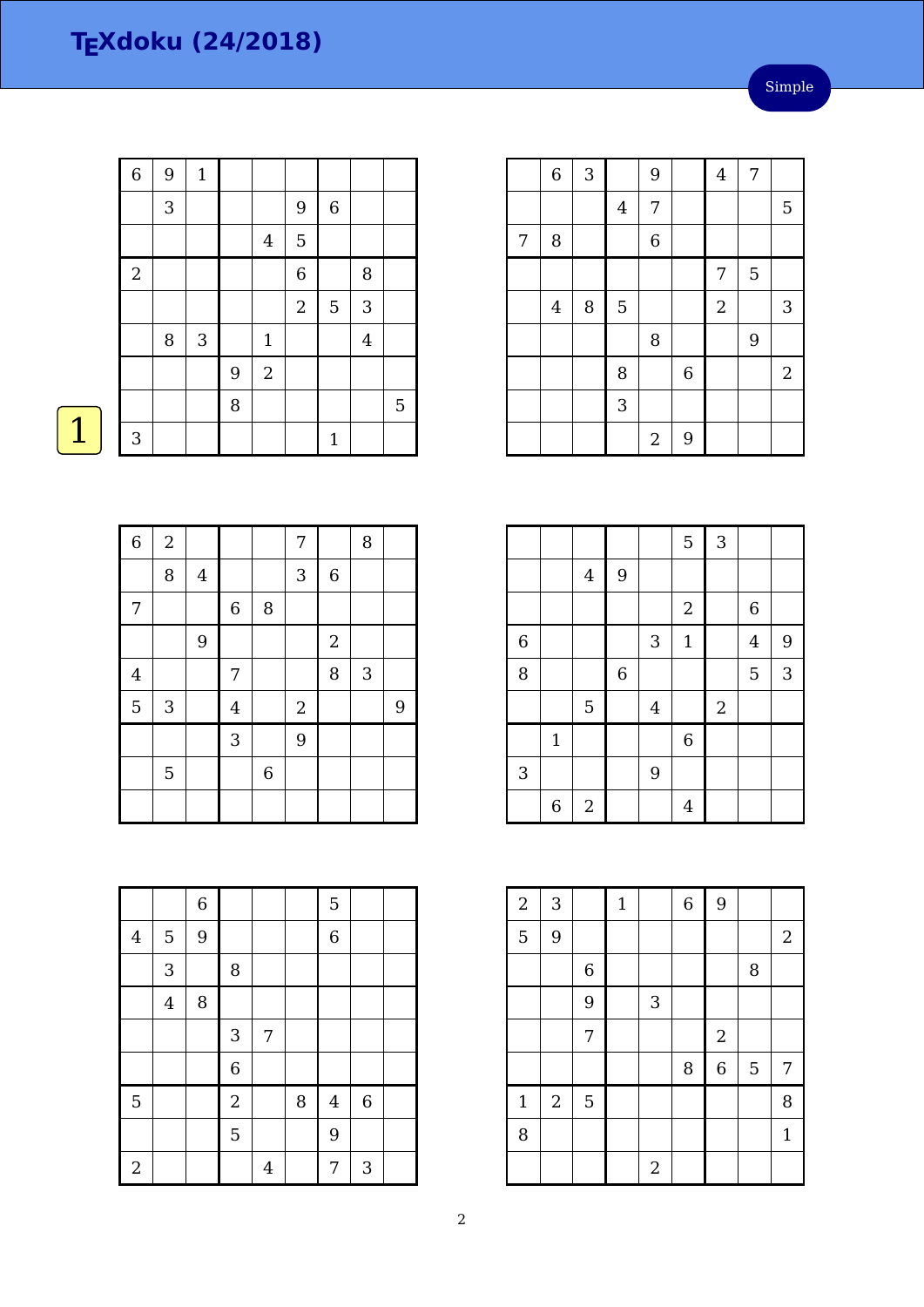#### Simple

| $\overline{6}$ | $\boldsymbol{9}$ | $\mathbf 1$ |   |                |                |                |                |             |
|----------------|------------------|-------------|---|----------------|----------------|----------------|----------------|-------------|
|                | $\sqrt{3}$       |             |   |                | 9              | $\,$ 6 $\,$    |                |             |
|                |                  |             |   | $\overline{4}$ | 5              |                |                |             |
| $\overline{2}$ |                  |             |   |                | $\overline{6}$ |                | 8              |             |
|                |                  |             |   |                | $\overline{2}$ | $\overline{5}$ | $\mathbf{3}$   |             |
|                | $\, 8$           | $\sqrt{3}$  |   | $\mathbf 1$    |                |                | $\overline{4}$ |             |
|                |                  |             | 9 | $\overline{2}$ |                |                |                |             |
|                |                  |             | 8 |                |                |                |                | $\mathbf 5$ |
| $\mathbf{3}$   |                  |             |   |                |                | $\mathbf{1}$   |                |             |

|   |                |   | $\overline{4}$ | 7                |                |                  |                | 5          |
|---|----------------|---|----------------|------------------|----------------|------------------|----------------|------------|
| 7 | 8              |   |                | $\boldsymbol{6}$ |                |                  |                |            |
|   |                |   |                |                  |                | 7                | $\overline{5}$ |            |
|   | $\overline{4}$ | 8 | $\mathbf 5$    |                  |                | $\boldsymbol{2}$ |                | 3          |
|   |                |   |                | 8                |                |                  | $\overline{9}$ |            |
|   |                |   | 8              |                  | $\overline{6}$ |                  |                | $\sqrt{2}$ |
|   |                |   | $\overline{3}$ |                  |                |                  |                |            |
|   |                |   |                | $\overline{2}$   | 9              |                  |                |            |

6 3 9 4 7

|                |                |                |             |                | 5              | 3                |                  |   |
|----------------|----------------|----------------|-------------|----------------|----------------|------------------|------------------|---|
|                |                | $\overline{4}$ | 9           |                |                |                  |                  |   |
|                |                |                |             |                | $\overline{2}$ |                  | $\boldsymbol{6}$ |   |
| $\overline{6}$ |                |                |             | 3              | $\mathbf 1$    |                  | $\overline{4}$   | 9 |
| 8              |                |                | $\,$ 6 $\,$ |                |                |                  | 5                | 3 |
|                |                | $\overline{5}$ |             | $\overline{4}$ |                | $\boldsymbol{2}$ |                  |   |
|                | $1\,$          |                |             |                | $\overline{6}$ |                  |                  |   |
| 3              |                |                |             | 9              |                |                  |                  |   |
|                | $\overline{6}$ | $\sqrt{2}$     |             |                | $\overline{4}$ |                  |                  |   |

| $\overline{a}$ | 3              |             | $\mathbf 1$ |            | $\overline{6}$ | 9                |   |                  |
|----------------|----------------|-------------|-------------|------------|----------------|------------------|---|------------------|
| $\overline{5}$ | 9              |             |             |            |                |                  |   | $\boldsymbol{2}$ |
|                |                | $\,$ 6 $\,$ |             |            |                |                  | 8 |                  |
|                |                | 9           |             | 3          |                |                  |   |                  |
|                |                | 7           |             |            |                | $\overline{2}$   |   |                  |
|                |                |             |             |            | 8              | $\boldsymbol{6}$ | 5 | 7                |
| $\mathbf{1}$   | $\overline{2}$ | 5           |             |            |                |                  |   | 8                |
| 8              |                |             |             |            |                |                  |   | $\mathbf{1}$     |
|                |                |             |             | $\sqrt{2}$ |                |                  |   |                  |

| <b>Service Service</b> |    |  |
|------------------------|----|--|
|                        | ۰. |  |

| $\overline{6}$ | $\,2$      |         |                  |             | 7              |             | 8            |   |
|----------------|------------|---------|------------------|-------------|----------------|-------------|--------------|---|
|                | 8          | $\bf 4$ |                  |             | 3              | $\,$ 6 $\,$ |              |   |
| 7              |            |         | $\boldsymbol{6}$ | 8           |                |             |              |   |
|                |            | 9       |                  |             |                | $\sqrt{2}$  |              |   |
| $\overline{4}$ |            |         | 7                |             |                | 8           | $\mathbf{3}$ |   |
| $\overline{5}$ | $\sqrt{3}$ |         | $\overline{4}$   |             | $\overline{2}$ |             |              | 9 |
|                |            |         | 3                |             | 9              |             |              |   |
|                | 5          |         |                  | $\,$ 6 $\,$ |                |             |              |   |
|                |            |         |                  |             |                |             |              |   |

|                |                | $\,6\,$ |                |   |        | 5           |       |  |
|----------------|----------------|---------|----------------|---|--------|-------------|-------|--|
| $\bf 4$        | 5              | 9       |                |   |        | $\,$ 6 $\,$ |       |  |
|                | $\overline{3}$ |         | 8              |   |        |             |       |  |
|                | $\overline{4}$ | 8       |                |   |        |             |       |  |
|                |                |         | $\sqrt{3}$     | 7 |        |             |       |  |
|                |                |         | $\,$ 6 $\,$    |   |        |             |       |  |
| 5              |                |         | $\overline{a}$ |   | $\, 8$ | $\bf 4$     | $\,6$ |  |
|                |                |         | 5              |   |        | 9           |       |  |
| $\overline{2}$ |                |         |                | 4 |        | 7           | 3     |  |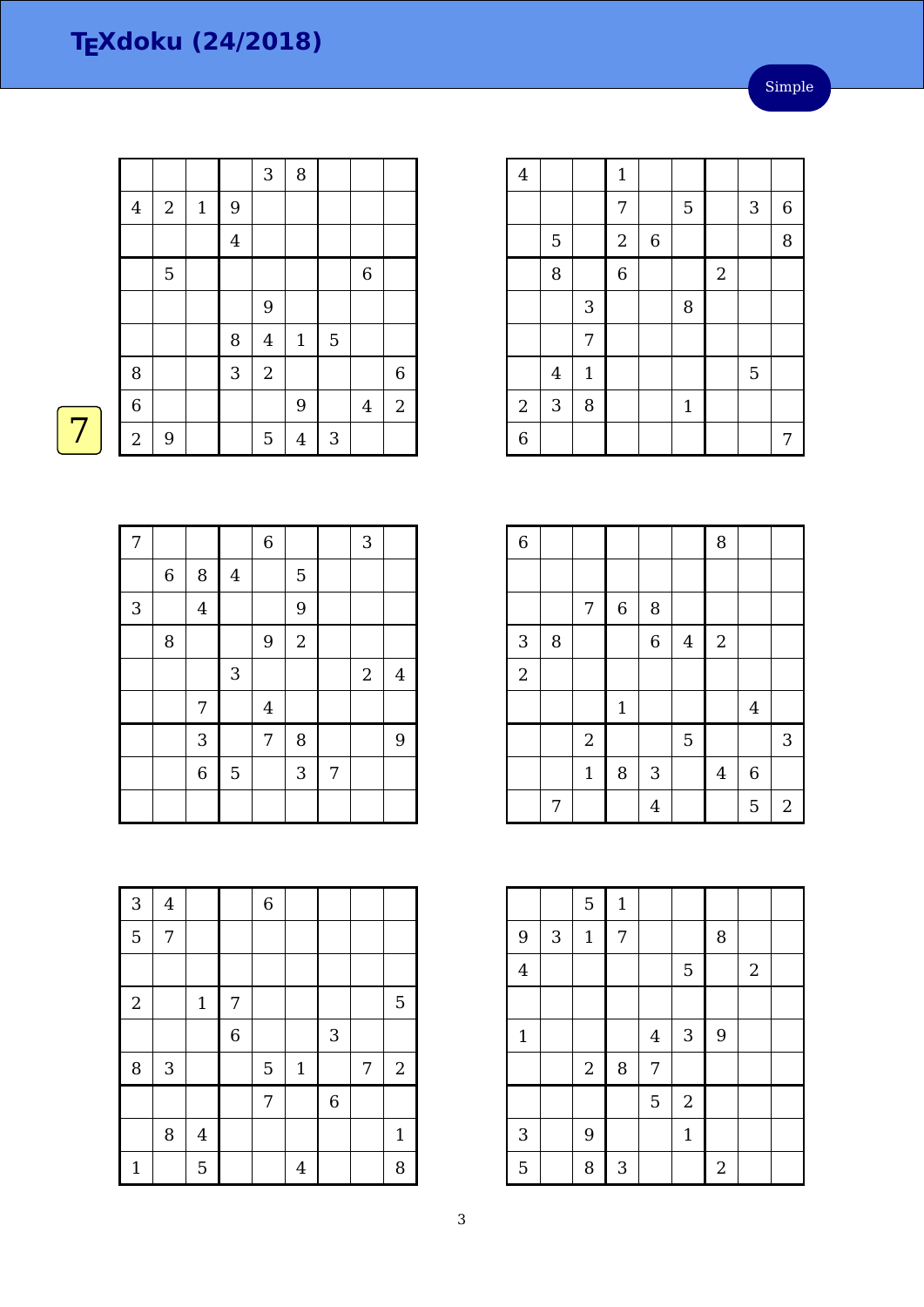|                  |                  |             |                         | 3                | 8              |                |                  |                |
|------------------|------------------|-------------|-------------------------|------------------|----------------|----------------|------------------|----------------|
| $\boldsymbol{4}$ | $\boldsymbol{2}$ | $\mathbf 1$ | $\overline{9}$          |                  |                |                |                  |                |
|                  |                  |             | $\overline{\mathbf{4}}$ |                  |                |                |                  |                |
|                  | $\overline{5}$   |             |                         |                  |                |                | $\boldsymbol{6}$ |                |
|                  |                  |             |                         | 9                |                |                |                  |                |
|                  |                  |             | 8                       | $\bf 4$          | $\mathbf 1$    | $\overline{5}$ |                  |                |
| $\, 8$           |                  |             | 3                       | $\boldsymbol{2}$ |                |                |                  | 6              |
| $\overline{6}$   |                  |             |                         |                  | 9              |                | $\overline{4}$   | $\overline{c}$ |
| $\sqrt{2}$       | 9                |             |                         | 5                | $\overline{4}$ | 3              |                  |                |

| $\overline{4}$ |                |              | $1\,$          |             |              |                  |   |   |
|----------------|----------------|--------------|----------------|-------------|--------------|------------------|---|---|
|                |                |              | 7              |             | 5            |                  | 3 | 6 |
|                | $\overline{5}$ |              | $\sqrt{2}$     | $\,$ 6 $\,$ |              |                  |   | 8 |
|                | 8              |              | $\overline{6}$ |             |              | $\boldsymbol{2}$ |   |   |
|                |                | $\sqrt{3}$   |                |             | 8            |                  |   |   |
|                |                | 7            |                |             |              |                  |   |   |
|                | $\overline{4}$ | $\mathbf{1}$ |                |             |              |                  | 5 |   |
| $\sqrt{2}$     | 3              | 8            |                |             | $\mathbf{1}$ |                  |   |   |
| 6              |                |              |                |             |              |                  |   | 7 |

| $\overline{6}$ |   |                |             |                  |                | 8                |                  |                |
|----------------|---|----------------|-------------|------------------|----------------|------------------|------------------|----------------|
|                |   |                |             |                  |                |                  |                  |                |
|                |   | 7              | $\,$ 6 $\,$ | 8                |                |                  |                  |                |
| 3              | 8 |                |             | $\boldsymbol{6}$ | $\overline{4}$ | $\boldsymbol{2}$ |                  |                |
| $\overline{2}$ |   |                |             |                  |                |                  |                  |                |
|                |   |                | $\mathbf 1$ |                  |                |                  | $\bf 4$          |                |
|                |   | $\overline{2}$ |             |                  | 5              |                  |                  | 3              |
|                |   | $\mathbf{1}$   | 8           | 3                |                | $\overline{4}$   | $\boldsymbol{6}$ |                |
|                | 7 |                |             | $\overline{4}$   |                |                  | 5                | $\overline{2}$ |

|                |                           | 5           | $\mathbf 1$ |                |              |                |            |  |
|----------------|---------------------------|-------------|-------------|----------------|--------------|----------------|------------|--|
| 9              | $\ensuremath{\mathsf{3}}$ | $\mathbf 1$ | 7           |                |              | 8              |            |  |
| $\overline{4}$ |                           |             |             |                | 5            |                | $\sqrt{2}$ |  |
|                |                           |             |             |                |              |                |            |  |
| $1\,$          |                           |             |             | $\overline{4}$ | 3            | 9              |            |  |
|                |                           | $\sqrt{2}$  | 8           | 7              |              |                |            |  |
|                |                           |             |             | 5              | $\sqrt{2}$   |                |            |  |
| $\sqrt{3}$     |                           | 9           |             |                | $\mathbf{1}$ |                |            |  |
| 5              |                           | 8           | $\sqrt{3}$  |                |              | $\overline{2}$ |            |  |

| $\overline{7}$ |       |                |                | $\overline{6}$          |                |                | 3          |                |
|----------------|-------|----------------|----------------|-------------------------|----------------|----------------|------------|----------------|
|                | $\,6$ | $\, 8$         | $\overline{4}$ |                         | 5              |                |            |                |
| 3              |       | $\overline{4}$ |                |                         | $\overline{9}$ |                |            |                |
|                | 8     |                |                | 9                       | $\overline{2}$ |                |            |                |
|                |       |                | 3              |                         |                |                | $\sqrt{2}$ | $\overline{4}$ |
|                |       | 7              |                | $\overline{\mathbf{4}}$ |                |                |            |                |
|                |       | 3              |                | 7                       | 8              |                |            | 9              |
|                |       | $\overline{6}$ | $\mathbf 5$    |                         | 3              | $\overline{7}$ |            |                |
|                |       |                |                |                         |                |                |            |                |

| 3              | $\bf 4$ |                |                  | $\,$ 6 $\,$ |                |                |   |                  |
|----------------|---------|----------------|------------------|-------------|----------------|----------------|---|------------------|
| $\overline{5}$ | 7       |                |                  |             |                |                |   |                  |
|                |         |                |                  |             |                |                |   |                  |
| $\overline{2}$ |         | $\mathbf{1}$   | 7                |             |                |                |   | 5                |
|                |         |                | $\boldsymbol{6}$ |             |                | 3              |   |                  |
| 8              | 3       |                |                  | 5           | $\mathbf{1}$   |                | 7 | $\boldsymbol{2}$ |
|                |         |                |                  | 7           |                | $\overline{6}$ |   |                  |
|                | 8       | $\overline{4}$ |                  |             |                |                |   | $\mathbf{1}$     |
| $\mathbf{1}$   |         | 5              |                  |             | $\overline{4}$ |                |   | 8                |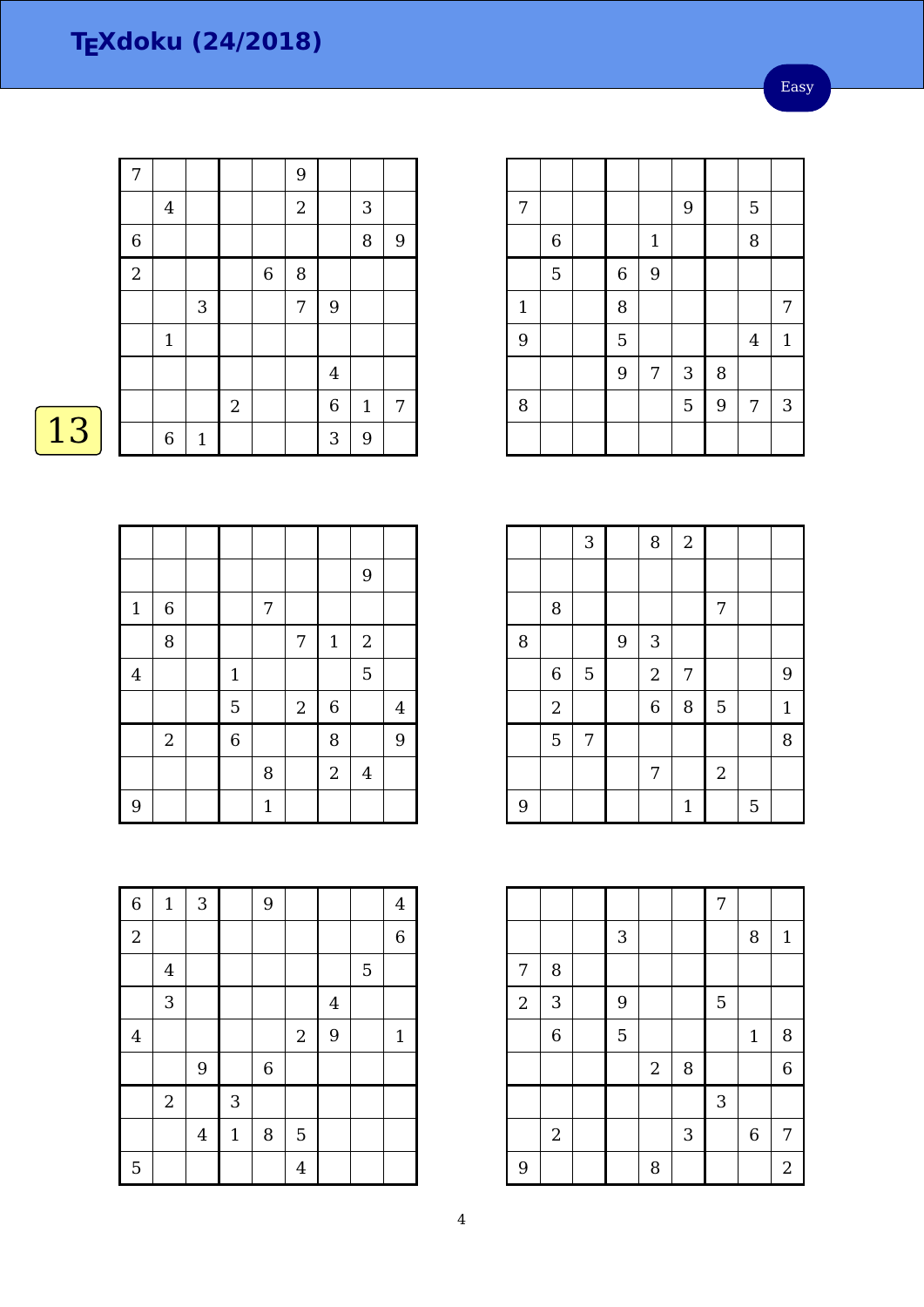Easy

|    | 7              |                |              |            |             | 9              |         |                  |   |
|----|----------------|----------------|--------------|------------|-------------|----------------|---------|------------------|---|
|    |                | $\overline{4}$ |              |            |             | $\overline{2}$ |         | $\mathbf{3}$     |   |
|    | 6              |                |              |            |             |                |         | 8                | 9 |
|    | $\overline{2}$ |                |              |            | $\,$ 6 $\,$ | 8              |         |                  |   |
|    |                |                | $\sqrt{3}$   |            |             | 7              | 9       |                  |   |
|    |                | $\mathbf{1}$   |              |            |             |                |         |                  |   |
|    |                |                |              |            |             |                | $\bf 4$ |                  |   |
|    |                |                |              | $\sqrt{2}$ |             |                | 6       | $\mathbf{1}$     | 7 |
| 13 |                | $\,$ 6 $\,$    | $\mathbf{1}$ |            |             |                | 3       | $\boldsymbol{9}$ |   |

|                |                |                |              |            |                  | $\overline{9}$   |                |
|----------------|----------------|----------------|--------------|------------|------------------|------------------|----------------|
| $\mathbf{1}$   | $\,6\,$        |                | 7            |            |                  |                  |                |
|                | 8              |                |              | $\sqrt{ }$ | $1\,$            | $\boldsymbol{2}$ |                |
| $\overline{4}$ |                | $\mathbf{1}$   |              |            |                  | 5                |                |
|                |                | 5              |              | $\sqrt{2}$ | $\boldsymbol{6}$ |                  | $\overline{4}$ |
|                | $\overline{2}$ | $\overline{6}$ |              |            | 8                |                  | 9              |
|                |                |                | 8            |            | $\overline{2}$   | $\bf 4$          |                |
| 9              |                |                | $\mathbf{1}$ |            |                  |                  |                |

| $\overline{6}$   | $\mathbf{1}$   | 3                       |             | $\overline{9}$ |                |                |   | $\overline{4}$ |
|------------------|----------------|-------------------------|-------------|----------------|----------------|----------------|---|----------------|
| $\boldsymbol{2}$ |                |                         |             |                |                |                |   | 6              |
|                  | $\bf 4$        |                         |             |                |                |                | 5 |                |
|                  | 3              |                         |             |                |                | $\overline{4}$ |   |                |
| $\bf 4$          |                |                         |             |                | $\sqrt{2}$     | 9              |   | $\mathbf{1}$   |
|                  |                | 9                       |             | $\,$ 6 $\,$    |                |                |   |                |
|                  | $\overline{2}$ |                         | 3           |                |                |                |   |                |
|                  |                | $\overline{\mathbf{4}}$ | $\mathbf 1$ | 8              | $\overline{5}$ |                |   |                |
| 5                |                |                         |             |                | $\overline{4}$ |                |   |                |

| 7     |   |                  |              | 9 |   | 5              |              |
|-------|---|------------------|--------------|---|---|----------------|--------------|
|       | 6 |                  | $\mathbf{1}$ |   |   | 8              |              |
|       | 5 | $\boldsymbol{6}$ | 9            |   |   |                |              |
| $1\,$ |   | 8                |              |   |   |                | 7            |
| 9     |   | 5                |              |   |   | $\overline{4}$ | $\mathbf{1}$ |
|       |   | 9                | 7            | 3 | 8 |                |              |
| 8     |   |                  |              | 5 | 9 | 7              | 3            |
|       |   |                  |              |   |   |                |              |

|   |                | 3              |   | 8                | $\overline{c}$ |                  |   |              |
|---|----------------|----------------|---|------------------|----------------|------------------|---|--------------|
|   |                |                |   |                  |                |                  |   |              |
|   | 8              |                |   |                  |                | 7                |   |              |
| 8 |                |                | 9 | 3                |                |                  |   |              |
|   | $\,$ 6 $\,$    | $\overline{5}$ |   | $\boldsymbol{2}$ | 7              |                  |   | 9            |
|   | $\overline{2}$ |                |   | $\overline{6}$   | 8              | 5                |   | $\mathbf{1}$ |
|   | $\overline{5}$ | 7              |   |                  |                |                  |   | 8            |
|   |                |                |   | 7                |                | $\boldsymbol{2}$ |   |              |
| 9 |                |                |   |                  | $\mathbf{1}$   |                  | 5 |              |

|                |                |   |                |   | $\overline{7}$ |                  |                |
|----------------|----------------|---|----------------|---|----------------|------------------|----------------|
|                |                | 3 |                |   |                | 8                | $\mathbf{1}$   |
| 7              | 8              |   |                |   |                |                  |                |
| $\overline{2}$ | 3              | 9 |                |   | 5              |                  |                |
|                | $\,$ 6 $\,$    | 5 |                |   |                | $\mathbf{1}$     | 8              |
|                |                |   | $\overline{2}$ | 8 |                |                  | $\overline{6}$ |
|                |                |   |                |   | 3              |                  |                |
|                | $\overline{2}$ |   |                | 3 |                | $\boldsymbol{6}$ | 7              |
| 9              |                |   | 8              |   |                |                  | $\overline{2}$ |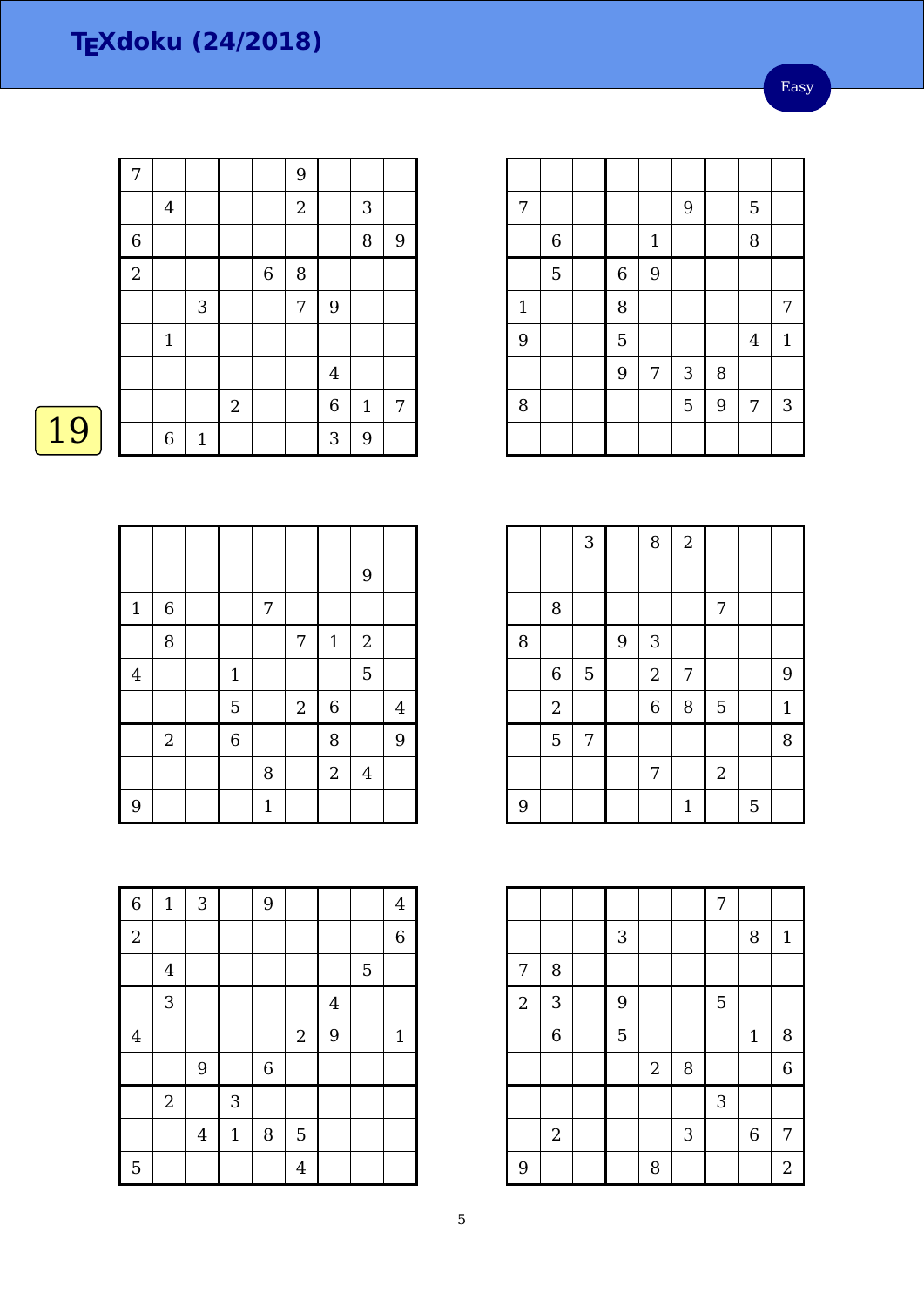Easy

| 9 |
|---|
|   |
|   |
|   |
|   |
| 7 |
|   |
|   |

|                         |                |                |             |            |                | $\overline{9}$ |                |
|-------------------------|----------------|----------------|-------------|------------|----------------|----------------|----------------|
| $\mathbf{1}$            | $\,6\,$        |                | 7           |            |                |                |                |
|                         | 8              |                |             | 7          | $1\,$          | $\sqrt{2}$     |                |
| $\overline{\mathbf{4}}$ |                | $\mathbf{1}$   |             |            |                | 5              |                |
|                         |                | 5              |             | $\sqrt{2}$ | $\,$ 6 $\,$    |                | $\overline{4}$ |
|                         | $\overline{2}$ | $\overline{6}$ |             |            | 8              |                | 9              |
|                         |                |                | 8           |            | $\overline{2}$ | $\overline{4}$ |                |
| 9                       |                |                | $\mathbf 1$ |            |                |                |                |

| $\,$ 6 $\,$    | $\mathbf 1$             | $\sqrt{3}$       |              | 9       |                |                |                | $\overline{4}$ |
|----------------|-------------------------|------------------|--------------|---------|----------------|----------------|----------------|----------------|
| $\overline{2}$ |                         |                  |              |         |                |                |                | $\,$ 6 $\,$    |
|                | $\overline{\mathbf{4}}$ |                  |              |         |                |                | $\overline{5}$ |                |
|                | $\sqrt{3}$              |                  |              |         |                | $\overline{4}$ |                |                |
| $\,4\,$        |                         |                  |              |         | $\sqrt{2}$     | 9              |                | $\mathbf 1$    |
|                |                         | $9\,$            |              | $\,6\,$ |                |                |                |                |
|                | $\mathbf{2}$            |                  | $\mathbf{3}$ |         |                |                |                |                |
|                |                         | $\boldsymbol{4}$ | $\mathbf 1$  | $\, 8$  | $\mathbf 5$    |                |                |                |
| 5              |                         |                  |              |         | $\overline{4}$ |                |                |                |

| 7     |             |                  |              | 9 |   | 5              |              |
|-------|-------------|------------------|--------------|---|---|----------------|--------------|
|       | $\,$ 6 $\,$ |                  | $\mathbf{1}$ |   |   | 8              |              |
|       | 5           | $\boldsymbol{6}$ | 9            |   |   |                |              |
| $1\,$ |             | 8                |              |   |   |                | 7            |
| 9     |             | 5                |              |   |   | $\overline{4}$ | $\mathbf{1}$ |
|       |             | 9                | 7            | 3 | 8 |                |              |
| 8     |             |                  |              | 5 | 9 | 7              | 3            |
|       |             |                  |              |   |   |                |              |

|   |                | 3              |   | 8                | $\overline{a}$ |            |   |              |
|---|----------------|----------------|---|------------------|----------------|------------|---|--------------|
|   |                |                |   |                  |                |            |   |              |
|   | 8              |                |   |                  |                | 7          |   |              |
| 8 |                |                | 9 | 3                |                |            |   |              |
|   | 6              | $\overline{5}$ |   | $\boldsymbol{2}$ | 7              |            |   | 9            |
|   | $\overline{2}$ |                |   | $\overline{6}$   | 8              | 5          |   | $\mathbf{1}$ |
|   | 5              | 7              |   |                  |                |            |   | 8            |
|   |                |                |   | 7                |                | $\sqrt{2}$ |   |              |
| 9 |                |                |   |                  | $\mathbf{1}$   |            | 5 |              |

|                |                |   |            |   | 7 |              |                |
|----------------|----------------|---|------------|---|---|--------------|----------------|
|                |                | 3 |            |   |   | 8            | $\mathbf{1}$   |
| 7              | $\, 8$         |   |            |   |   |              |                |
| $\overline{2}$ | 3              | 9 |            |   | 5 |              |                |
|                | $\overline{6}$ | 5 |            |   |   | $\mathbf{1}$ | 8              |
|                |                |   | $\sqrt{2}$ | 8 |   |              | $\overline{6}$ |
|                |                |   |            |   | 3 |              |                |
|                | $\sqrt{2}$     |   |            | 3 |   | 6            | 7              |
| 9              |                |   | 8          |   |   |              | $\overline{2}$ |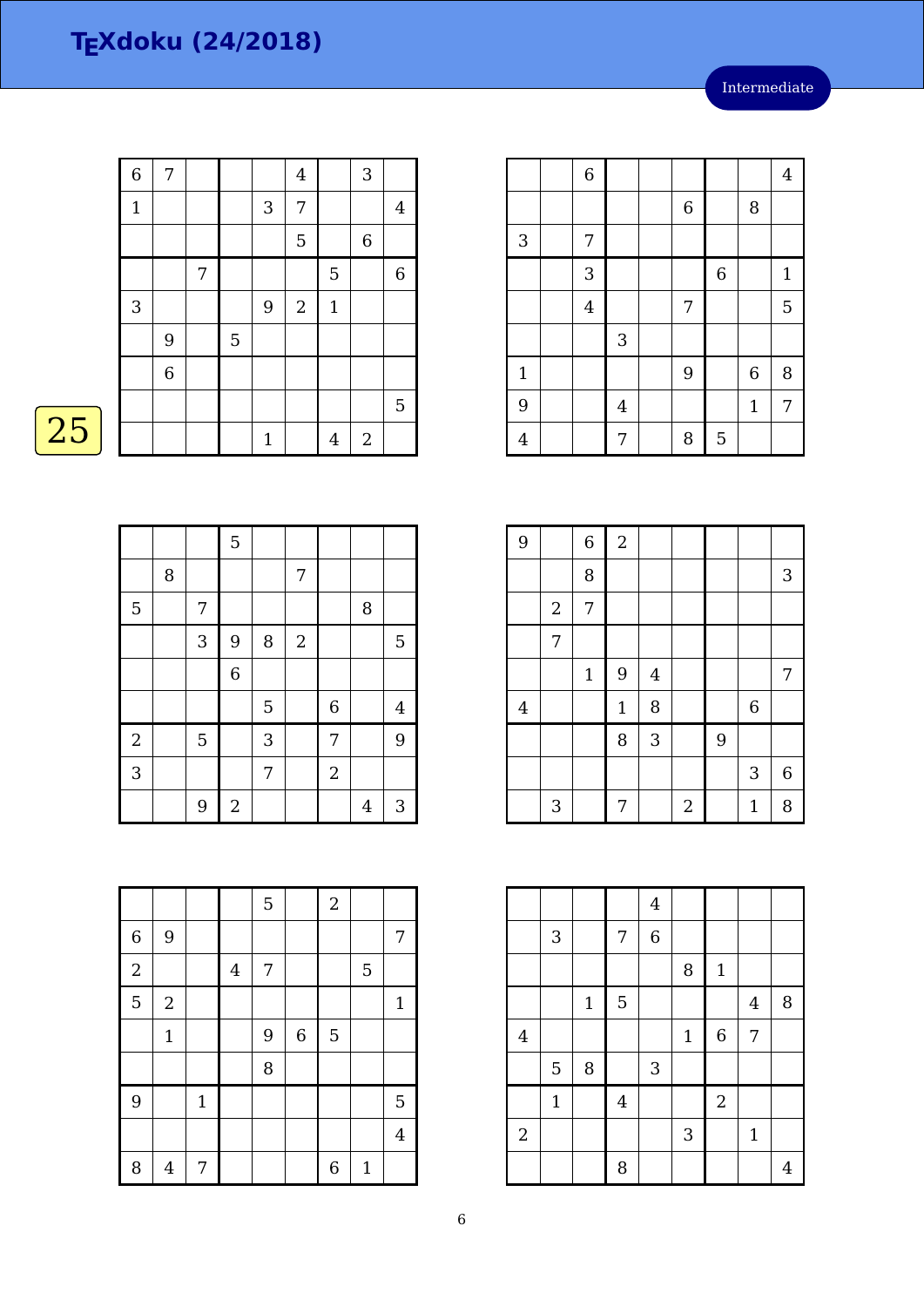6 | | | | | | 4

3 | | | | | 6 | | 1

4 | | | 7 | | | | 5

4 | | | | 7 | | 8 | 5

1 | | | | | | | | | 6 | 8

9 | | | 4 | | | | | | 1 | 7

 $3 \mid 7$ 

6 8

| $\overline{6}$ | 7           |                  |                |                | $\overline{4}$ |       | 3           |                |
|----------------|-------------|------------------|----------------|----------------|----------------|-------|-------------|----------------|
| $\mathbf{1}$   |             |                  |                | $\mathbf{3}$   | 7              |       |             | $\overline{4}$ |
|                |             |                  |                |                | 5              |       | $\,$ 6 $\,$ |                |
|                |             | $\boldsymbol{7}$ |                |                |                | 5     |             | $\,$ 6 $\,$    |
| 3              |             |                  |                | $\overline{9}$ | $\sqrt{2}$     | $1\,$ |             |                |
|                | 9           |                  | $\overline{5}$ |                |                |       |             |                |
|                | $\,$ 6 $\,$ |                  |                |                |                |       |             |                |
|                |             |                  |                |                |                |       |             | 5              |
|                |             |                  |                | $\mathbf 1$    |                | 4     | $\sqrt{2}$  |                |

### $\overline{25}$

|                |   |             | 5              |   |                |                |        |                |
|----------------|---|-------------|----------------|---|----------------|----------------|--------|----------------|
|                | 8 |             |                |   | 7              |                |        |                |
| 5              |   | 7           |                |   |                |                | $\, 8$ |                |
|                |   | 3           | 9              | 8 | $\overline{2}$ |                |        | 5              |
|                |   |             | $\overline{6}$ |   |                |                |        |                |
|                |   |             |                | 5 |                | $\overline{6}$ |        | $\overline{4}$ |
| $\overline{a}$ |   | $\mathbf 5$ |                | 3 |                | 7              |        | 9              |
| $\overline{3}$ |   |             |                | 7 |                | $\sqrt{2}$     |        |                |
|                |   | 9           | $\sqrt{2}$     |   |                |                | 4      | $\mathbf{3}$   |

| 9              |                  | 6           | $\sqrt{2}$   |                |                  |   |                  |   |
|----------------|------------------|-------------|--------------|----------------|------------------|---|------------------|---|
|                |                  | 8           |              |                |                  |   |                  | 3 |
|                | $\boldsymbol{2}$ | 7           |              |                |                  |   |                  |   |
|                | 7                |             |              |                |                  |   |                  |   |
|                |                  | $\mathbf 1$ | 9            | $\overline{4}$ |                  |   |                  | 7 |
| $\overline{4}$ |                  |             | $\mathbf{1}$ | 8              |                  |   | $\boldsymbol{6}$ |   |
|                |                  |             | 8            | 3              |                  | 9 |                  |   |
|                |                  |             |              |                |                  |   | 3                | 6 |
|                | 3                |             | 7            |                | $\boldsymbol{2}$ |   | $\mathbf{1}$     | 8 |

|                  |             |             |                         | $\bf 4$        |             |             |                |   |
|------------------|-------------|-------------|-------------------------|----------------|-------------|-------------|----------------|---|
|                  | $\sqrt{3}$  |             | 7                       | $\overline{6}$ |             |             |                |   |
|                  |             |             |                         |                | 8           | $\mathbf 1$ |                |   |
|                  |             | $\mathbf 1$ | 5                       |                |             |             | $\overline{4}$ | 8 |
| $\overline{4}$   |             |             |                         |                | $\mathbf 1$ | $\,$ 6 $\,$ | 7              |   |
|                  | $\mathbf 5$ | $\, 8$      |                         | $\sqrt{3}$     |             |             |                |   |
|                  | $\mathbf 1$ |             | $\overline{\mathbf{4}}$ |                |             | $\sqrt{2}$  |                |   |
| $\boldsymbol{2}$ |             |             |                         |                | 3           |             | $1\,$          |   |
|                  |             |             | 8                       |                |             |             |                | 4 |

|                |                |       |                         | 5 |                | $\overline{2}$   |              |                |
|----------------|----------------|-------|-------------------------|---|----------------|------------------|--------------|----------------|
| $\,$ 6 $\,$    | 9              |       |                         |   |                |                  |              | 7              |
| $\overline{c}$ |                |       | $\overline{\mathbf{4}}$ | 7 |                |                  | 5            |                |
| $\overline{5}$ | $\overline{2}$ |       |                         |   |                |                  |              | $\mathbf{1}$   |
|                | $\mathbf 1$    |       |                         | 9 | $\overline{6}$ | 5                |              |                |
|                |                |       |                         | 8 |                |                  |              |                |
| 9              |                | $1\,$ |                         |   |                |                  |              | 5              |
|                |                |       |                         |   |                |                  |              | $\overline{4}$ |
| 8              | 4              | 7     |                         |   |                | $\boldsymbol{6}$ | $\mathbf{1}$ |                |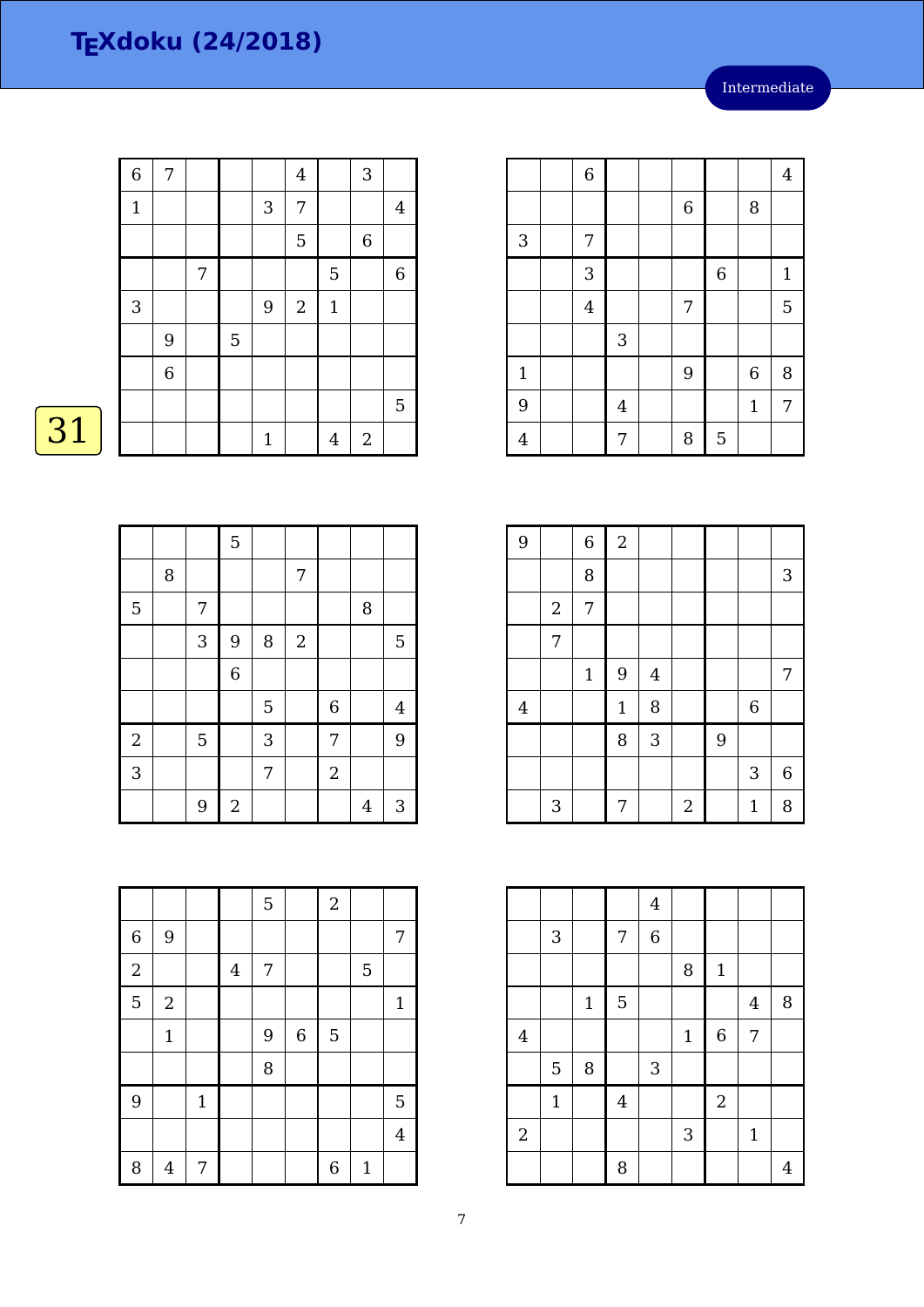| $\overline{6}$ | 7              |   |             |                | $\overline{4}$ |                | 3           |                |
|----------------|----------------|---|-------------|----------------|----------------|----------------|-------------|----------------|
| $\mathbf 1$    |                |   |             | 3              | 7              |                |             | $\overline{4}$ |
|                |                |   |             |                | 5              |                | $\,$ 6 $\,$ |                |
|                |                | 7 |             |                |                | 5              |             | $\,6\,$        |
| 3              |                |   |             | $\overline{9}$ | $\sqrt{2}$     | $1\,$          |             |                |
|                | 9              |   | $\mathbf 5$ |                |                |                |             |                |
|                | $\overline{6}$ |   |             |                |                |                |             |                |
|                |                |   |             |                |                |                |             | $\mathbf 5$    |
|                |                |   |             | $\mathbf{1}$   |                | $\overline{4}$ | $\sqrt{2}$  |                |

# $\boxed{31}$

|                         |   |   | 5                |   |                |                |        |                |
|-------------------------|---|---|------------------|---|----------------|----------------|--------|----------------|
|                         | 8 |   |                  |   | 7              |                |        |                |
| 5                       |   | 7 |                  |   |                |                | $\, 8$ |                |
|                         |   | 3 | 9                | 8 | $\overline{2}$ |                |        | $\overline{5}$ |
|                         |   |   | $\overline{6}$   |   |                |                |        |                |
|                         |   |   |                  | 5 |                | $\overline{6}$ |        | $\overline{4}$ |
| $\overline{\mathbf{c}}$ |   | 5 |                  | 3 |                | 7              |        | 9              |
| $\overline{3}$          |   |   |                  | 7 |                | $\overline{2}$ |        |                |
|                         |   | 9 | $\boldsymbol{2}$ |   |                |                | 4      | 3              |

|                |                |                | 6 |             | 8                |              |
|----------------|----------------|----------------|---|-------------|------------------|--------------|
| 3              | 7              |                |   |             |                  |              |
|                | 3              |                |   | $\,$ 6 $\,$ |                  | $\mathbf{1}$ |
|                | $\overline{4}$ |                | 7 |             |                  | 5            |
|                |                | $\mathsf 3$    |   |             |                  |              |
|                |                |                |   |             |                  |              |
| $\mathbf{1}$   |                |                | 9 |             | $\boldsymbol{6}$ | 8            |
| 9              |                | $\overline{4}$ |   |             | $\mathbf{1}$     | 7            |
| $\overline{4}$ |                | 7              | 8 | 5           |                  |              |
|                |                |                |   |             |                  |              |

6 | | | | | | 4

| 9              |                  | $\overline{6}$ | $\sqrt{2}$   |                |                |   |              |   |
|----------------|------------------|----------------|--------------|----------------|----------------|---|--------------|---|
|                |                  | 8              |              |                |                |   |              | 3 |
|                | $\boldsymbol{2}$ | 7              |              |                |                |   |              |   |
|                | 7                |                |              |                |                |   |              |   |
|                |                  | $\mathbf 1$    | 9            | $\overline{4}$ |                |   |              | 7 |
| $\overline{4}$ |                  |                | $\mathbf{1}$ | 8              |                |   | $\,$ 6 $\,$  |   |
|                |                  |                | 8            | 3              |                | 9 |              |   |
|                |                  |                |              |                |                |   | 3            | 6 |
|                | 3                |                | 7            |                | $\overline{2}$ |   | $\mathbf{1}$ | 8 |

|            |              |             |         | $\bf 4$     |             |                  |                |                |
|------------|--------------|-------------|---------|-------------|-------------|------------------|----------------|----------------|
|            | 3            |             | 7       | $\,$ 6 $\,$ |             |                  |                |                |
|            |              |             |         |             | 8           | $\mathbf 1$      |                |                |
|            |              | $\mathbf 1$ | 5       |             |             |                  | $\overline{4}$ | 8              |
| $\bf 4$    |              |             |         |             | $\mathbf 1$ | $\boldsymbol{6}$ | 7              |                |
|            | 5            | 8           |         | 3           |             |                  |                |                |
|            | $\mathbf{1}$ |             | $\bf 4$ |             |             | $\overline{2}$   |                |                |
| $\sqrt{2}$ |              |             |         |             | 3           |                  | $\mathbf 1$    |                |
|            |              |             | 8       |             |             |                  |                | $\overline{4}$ |

|                  |                |              |                | 5 |                  | $\overline{2}$   |              |                |
|------------------|----------------|--------------|----------------|---|------------------|------------------|--------------|----------------|
| $\boldsymbol{6}$ | 9              |              |                |   |                  |                  |              | 7              |
| $\overline{2}$   |                |              | $\overline{4}$ | 7 |                  |                  | 5            |                |
| 5                | $\overline{2}$ |              |                |   |                  |                  |              | $\mathbf{1}$   |
|                  | $\mathbf 1$    |              |                | 9 | $\boldsymbol{6}$ | 5                |              |                |
|                  |                |              |                | 8 |                  |                  |              |                |
| 9                |                | $\mathbf{1}$ |                |   |                  |                  |              | 5              |
|                  |                |              |                |   |                  |                  |              | $\overline{4}$ |
| 8                | 4              | 7            |                |   |                  | $\boldsymbol{6}$ | $\mathbf{1}$ |                |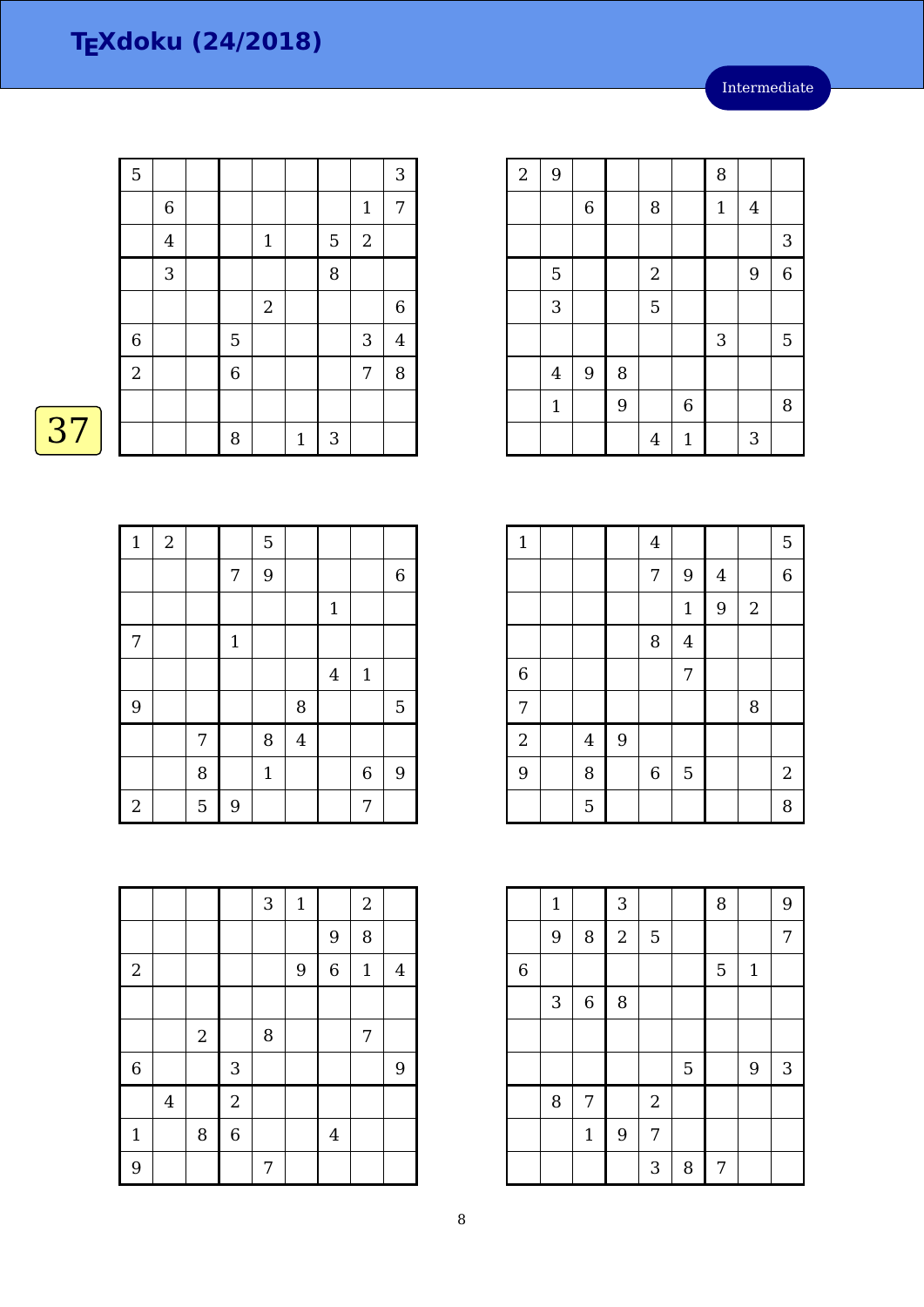| 5              |             |                |             |              |   |                  | 3              |
|----------------|-------------|----------------|-------------|--------------|---|------------------|----------------|
|                | $\,$ 6 $\,$ |                |             |              |   | $\mathbf 1$      | $\overline{7}$ |
|                | $\bf 4$     |                | $\mathbf 1$ |              | 5 | $\boldsymbol{2}$ |                |
|                | 3           |                |             |              | 8 |                  |                |
|                |             |                | $\sqrt{2}$  |              |   |                  | 6              |
| $\,$ 6 $\,$    |             | 5              |             |              |   | 3                | $\overline{4}$ |
| $\overline{2}$ |             | $\overline{6}$ |             |              |   | 7                | 8              |
|                |             |                |             |              |   |                  |                |
|                |             | 8              |             | $\mathbf{1}$ | 3 |                  |                |

### 

| $\mathbf{1}$     | $\overline{2}$ |   |       | 5           |                |                         |             |                |
|------------------|----------------|---|-------|-------------|----------------|-------------------------|-------------|----------------|
|                  |                |   | 7     | 9           |                |                         |             | $\,6\,$        |
|                  |                |   |       |             |                | $\mathbf{1}$            |             |                |
| $\boldsymbol{7}$ |                |   | $1\,$ |             |                |                         |             |                |
|                  |                |   |       |             |                | $\overline{\mathbf{4}}$ | $\mathbf 1$ |                |
| 9                |                |   |       |             | 8              |                         |             | $\overline{5}$ |
|                  |                | 7 |       | 8           | $\overline{4}$ |                         |             |                |
|                  |                | 8 |       | $\mathbf 1$ |                |                         | $\,$ 6 $\,$ | $\overline{9}$ |
| $\sqrt{2}$       |                | 5 | 9     |             |                |                         | 7           |                |

| $\overline{2}$ | 9              |                  |   |                |              | 8           |                |                |
|----------------|----------------|------------------|---|----------------|--------------|-------------|----------------|----------------|
|                |                | $\,$ 6 $\,$      |   | 8              |              | $\mathbf 1$ | $\overline{4}$ |                |
|                |                |                  |   |                |              |             |                | 3              |
|                | $\overline{5}$ |                  |   | $\overline{2}$ |              |             | 9              | $\overline{6}$ |
|                | 3              |                  |   | 5              |              |             |                |                |
|                |                |                  |   |                |              | 3           |                | 5              |
|                | $\overline{4}$ | $\boldsymbol{9}$ | 8 |                |              |             |                |                |
|                | $\mathbf{1}$   |                  | 9 |                | 6            |             |                | 8              |
|                |                |                  |   | $\overline{4}$ | $\mathbf{1}$ |             | 3              |                |

| $\mathbf{1}$     |         |   | $\overline{4}$ |                |                |            | 5     |
|------------------|---------|---|----------------|----------------|----------------|------------|-------|
|                  |         |   | 7              | 9              | $\overline{4}$ |            | 6     |
|                  |         |   |                | $\mathbf{1}$   | 9              | $\sqrt{2}$ |       |
|                  |         |   | 8              | $\overline{4}$ |                |            |       |
| $\boldsymbol{6}$ |         |   |                | 7              |                |            |       |
| 7                |         |   |                |                |                | 8          |       |
| $\overline{2}$   | $\bf 4$ | 9 |                |                |                |            |       |
| 9                | 8       |   | $\,$ 6 $\,$    | 5              |                |            | $2\,$ |
|                  | 5       |   |                |                |                |            | 8     |

|                | $\mathbf{1}$ |                  | 3          |            |   | 8 |              | 9 |
|----------------|--------------|------------------|------------|------------|---|---|--------------|---|
|                | 9            | 8                | $\sqrt{2}$ | 5          |   |   |              | 7 |
| $\overline{6}$ |              |                  |            |            |   | 5 | $\mathbf{1}$ |   |
|                | 3            | $\boldsymbol{6}$ | 8          |            |   |   |              |   |
|                |              |                  |            |            |   |   |              |   |
|                |              |                  |            |            | 5 |   | 9            | 3 |
|                | 8            | 7                |            | $\sqrt{2}$ |   |   |              |   |
|                |              | $\mathbf{1}$     | 9          | 7          |   |   |              |   |
|                |              |                  |            | 3          | 8 | 7 |              |   |

|              |         |            |                           | $\sqrt{3}$ | $\mathbf 1$ |                | $\boldsymbol{2}$ |                |
|--------------|---------|------------|---------------------------|------------|-------------|----------------|------------------|----------------|
|              |         |            |                           |            |             | 9              | 8                |                |
| $\sqrt{2}$   |         |            |                           |            | 9           | $\overline{6}$ | $\mathbf 1$      | $\overline{4}$ |
|              |         |            |                           |            |             |                |                  |                |
|              |         | $\sqrt{2}$ |                           | 8          |             |                | 7                |                |
| $\,6$        |         |            | $\ensuremath{\mathsf{3}}$ |            |             |                |                  | 9              |
|              | $\bf 4$ |            | $\sqrt{2}$                |            |             |                |                  |                |
| $\mathbf{1}$ |         | 8          | $\,$ 6 $\,$               |            |             | $\overline{4}$ |                  |                |
| 9            |         |            |                           | 7          |             |                |                  |                |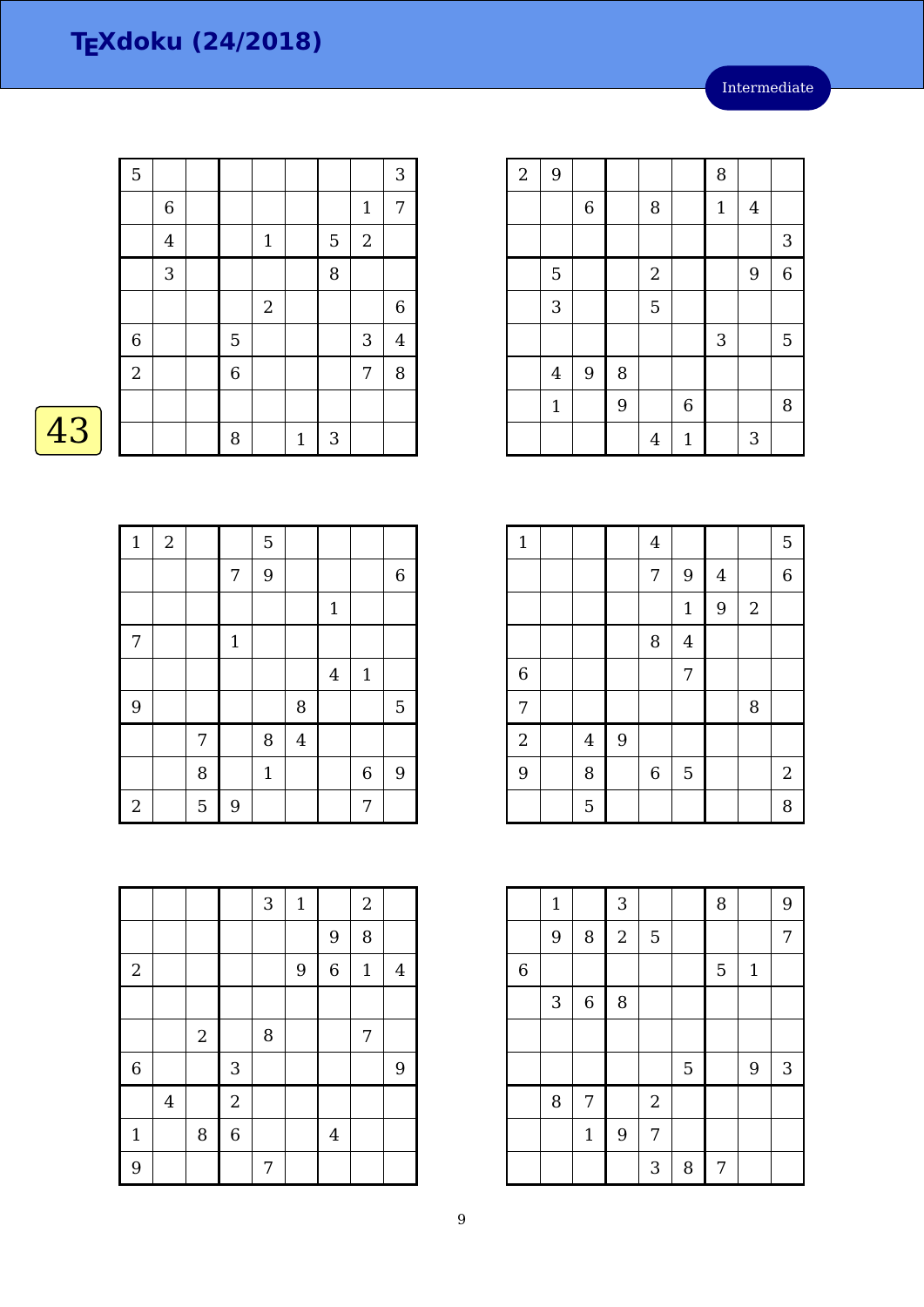| $\overline{5}$ |                |                |             |             |   |              | 3              |
|----------------|----------------|----------------|-------------|-------------|---|--------------|----------------|
|                | $\,$ 6 $\,$    |                |             |             |   | $\mathbf{1}$ | 7              |
|                | $\overline{4}$ |                | $\mathbf 1$ |             | 5 | $\sqrt{2}$   |                |
|                | 3              |                |             |             | 8 |              |                |
|                |                |                | $\sqrt{2}$  |             |   |              | 6              |
| $\overline{6}$ |                | $\overline{5}$ |             |             |   | 3            | $\overline{4}$ |
| $\overline{a}$ |                | $\overline{6}$ |             |             |   | 7            | 8              |
|                |                |                |             |             |   |              |                |
|                |                | 8              |             | $\mathbf 1$ | 3 |              |                |

## $\overline{43}$

| $\mathbf{1}$     | $\overline{2}$ |   |       | 5           |                |                |                  |                |
|------------------|----------------|---|-------|-------------|----------------|----------------|------------------|----------------|
|                  |                |   | 7     | 9           |                |                |                  | $\,6\,$        |
|                  |                |   |       |             |                | $\mathbf{1}$   |                  |                |
| $\boldsymbol{7}$ |                |   | $1\,$ |             |                |                |                  |                |
|                  |                |   |       |             |                | $\overline{4}$ | $\mathbf{1}$     |                |
| 9                |                |   |       |             | 8              |                |                  | $\overline{5}$ |
|                  |                | 7 |       | 8           | $\overline{4}$ |                |                  |                |
|                  |                | 8 |       | $\mathbf 1$ |                |                | $\boldsymbol{6}$ | 9              |
| $\overline{2}$   |                | 5 | 9     |             |                |                | 7                |                |

| $\sqrt{2}$ | 9              |                  |   |                |                  | 8            |         |                |
|------------|----------------|------------------|---|----------------|------------------|--------------|---------|----------------|
|            |                | $\,6$            |   | 8              |                  | $\mathbf{1}$ | $\bf 4$ |                |
|            |                |                  |   |                |                  |              |         | 3              |
|            | 5              |                  |   | $\sqrt{2}$     |                  |              | 9       | $\overline{6}$ |
|            | 3              |                  |   | 5              |                  |              |         |                |
|            |                |                  |   |                |                  | 3            |         | 5              |
|            | $\overline{4}$ | $\boldsymbol{9}$ | 8 |                |                  |              |         |                |
|            | $\mathbf{1}$   |                  | 9 |                | $\boldsymbol{6}$ |              |         | 8              |
|            |                |                  |   | $\overline{4}$ | $\mathbf{1}$     |              | 3       |                |

| $\mathbf{1}$   |         |   | $\bf 4$        |                |                |            | 5              |
|----------------|---------|---|----------------|----------------|----------------|------------|----------------|
|                |         |   | 7              | 9              | $\overline{4}$ |            | $\overline{6}$ |
|                |         |   |                | $\mathbf{1}$   | 9              | $\sqrt{2}$ |                |
|                |         |   | 8              | $\overline{4}$ |                |            |                |
| $\overline{6}$ |         |   |                | 7              |                |            |                |
| 7              |         |   |                |                |                | 8          |                |
| $\overline{2}$ | $\bf 4$ | 9 |                |                |                |            |                |
| 9              | 8       |   | $\overline{6}$ | 5              |                |            | $2\,$          |
|                | 5       |   |                |                |                |            | 8              |

|                | $\mathbf{1}$ |              | 3              |                  |   | 8 |              | 9 |
|----------------|--------------|--------------|----------------|------------------|---|---|--------------|---|
|                | 9            | 8            | $\overline{2}$ | 5                |   |   |              | 7 |
| $\overline{6}$ |              |              |                |                  |   | 5 | $\mathbf{1}$ |   |
|                | 3            | $\,$ 6 $\,$  | 8              |                  |   |   |              |   |
|                |              |              |                |                  |   |   |              |   |
|                |              |              |                |                  | 5 |   | 9            | 3 |
|                | 8            | 7            |                | $\boldsymbol{2}$ |   |   |              |   |
|                |              | $\mathbf{1}$ | 9              | 7                |   |   |              |   |
|                |              |              |                | 3                | 8 | 7 |              |   |

|              |                         |            |                | $\sqrt{3}$ | $\mathbf{1}$ |                  | $\boldsymbol{2}$ |                |
|--------------|-------------------------|------------|----------------|------------|--------------|------------------|------------------|----------------|
|              |                         |            |                |            |              | 9                | 8                |                |
| $\sqrt{2}$   |                         |            |                |            | 9            | $\boldsymbol{6}$ | $\mathbf{1}$     | $\overline{4}$ |
|              |                         |            |                |            |              |                  |                  |                |
|              |                         | $\sqrt{2}$ |                | 8          |              |                  | 7                |                |
| $\,$ 6 $\,$  |                         |            | 3              |            |              |                  |                  | 9              |
|              | $\overline{\mathbf{4}}$ |            | $\overline{2}$ |            |              |                  |                  |                |
| $\mathbf{1}$ |                         | 8          | $\overline{6}$ |            |              | $\overline{4}$   |                  |                |
| 9            |                         |            |                | 7          |              |                  |                  |                |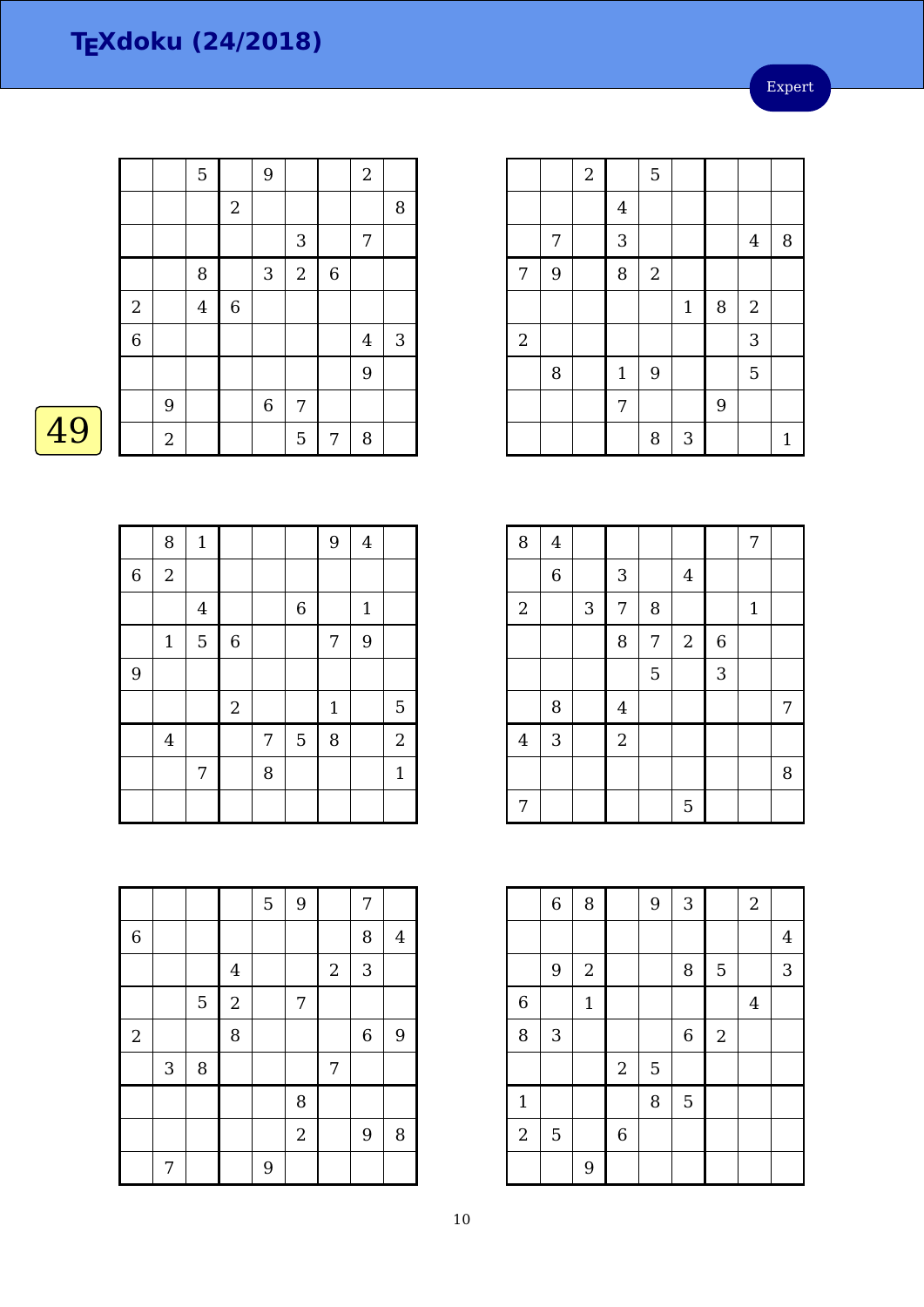Expert

|                  |                  | 5              |             | 9            |                |                | $\sqrt{2}$     |   |
|------------------|------------------|----------------|-------------|--------------|----------------|----------------|----------------|---|
|                  |                  |                | $\sqrt{2}$  |              |                |                |                | 8 |
|                  |                  |                |             |              | 3              |                | 7              |   |
|                  |                  | 8              |             | $\mathbf{3}$ | $\overline{2}$ | $\overline{6}$ |                |   |
| $\boldsymbol{2}$ |                  | $\overline{4}$ | $\,$ 6 $\,$ |              |                |                |                |   |
| $\overline{6}$   |                  |                |             |              |                |                | $\overline{4}$ | 3 |
|                  |                  |                |             |              |                |                | 9              |   |
|                  | 9                |                |             | $\,$ 6 $\,$  | $\overline{7}$ |                |                |   |
|                  | $\boldsymbol{2}$ |                |             |              | 5              | 7              | 8              |   |

|                |   | $\overline{c}$ |                | 5                |             |   |                |              |
|----------------|---|----------------|----------------|------------------|-------------|---|----------------|--------------|
|                |   |                | $\overline{4}$ |                  |             |   |                |              |
|                | 7 |                | 3              |                  |             |   | $\overline{4}$ | 8            |
| 7              | 9 |                | 8              | $\boldsymbol{2}$ |             |   |                |              |
|                |   |                |                |                  | $\mathbf 1$ | 8 | $\overline{2}$ |              |
| $\overline{2}$ |   |                |                |                  |             |   | 3              |              |
|                | 8 |                | $\mathbf{1}$   | 9                |             |   | 5              |              |
|                |   |                | 7              |                  |             | 9 |                |              |
|                |   |                |                | 8                | 3           |   |                | $\mathbf{1}$ |

|                | 8              | $1\,$   |             |   |         | 9     | $\overline{4}$ |                |
|----------------|----------------|---------|-------------|---|---------|-------|----------------|----------------|
| $\,$ 6 $\,$    | $\sqrt{2}$     |         |             |   |         |       |                |                |
|                |                | $\bf 4$ |             |   | $\,6\,$ |       | $\mathbf{1}$   |                |
|                | $\mathbf{1}$   | 5       | $\,$ 6 $\,$ |   |         | 7     | 9              |                |
| $\overline{9}$ |                |         |             |   |         |       |                |                |
|                |                |         | $\sqrt{2}$  |   |         | $1\,$ |                | 5              |
|                | $\overline{4}$ |         |             | 7 | 5       | 8     |                | $\overline{a}$ |
|                |                | 7       |             | 8 |         |       |                | $\mathbf{1}$   |
|                |                |         |             |   |         |       |                |                |

| 8                       | $\overline{4}$ |            |                |   |                |             | 7            |   |
|-------------------------|----------------|------------|----------------|---|----------------|-------------|--------------|---|
|                         | $\,$ 6 $\,$    |            | $\sqrt{3}$     |   | $\overline{4}$ |             |              |   |
| $\sqrt{2}$              |                | $\sqrt{3}$ | 7              | 8 |                |             | $\mathbf{1}$ |   |
|                         |                |            | 8              | 7 | $\sqrt{2}$     | $\,$ 6 $\,$ |              |   |
|                         |                |            |                | 5 |                | 3           |              |   |
|                         | 8              |            | $\overline{4}$ |   |                |             |              | 7 |
| $\overline{\mathbf{4}}$ | 3              |            | $\overline{c}$ |   |                |             |              |   |
|                         |                |            |                |   |                |             |              | 8 |
| 7                       |                |            |                |   | 5              |             |              |   |

|                | $\,$ 6 $\,$               | 8           |                  | 9 | 3           |                  | $\sqrt{2}$ |                |
|----------------|---------------------------|-------------|------------------|---|-------------|------------------|------------|----------------|
|                |                           |             |                  |   |             |                  |            | $\overline{4}$ |
|                | $\boldsymbol{9}$          | $\sqrt{2}$  |                  |   | 8           | 5                |            | 3              |
| $\overline{6}$ |                           | $\mathbf 1$ |                  |   |             |                  | $\bf 4$    |                |
| 8              | $\ensuremath{\mathsf{3}}$ |             |                  |   | $\,$ 6 $\,$ | $\boldsymbol{2}$ |            |                |
|                |                           |             | $\boldsymbol{2}$ | 5 |             |                  |            |                |
| $\mathbf{1}$   |                           |             |                  | 8 | 5           |                  |            |                |
| $\overline{2}$ | 5                         |             | $\boldsymbol{6}$ |   |             |                  |            |                |
|                |                           | 9           |                  |   |             |                  |            |                |

|             |   |   |                | 5 | 9              |                | 7           |                |
|-------------|---|---|----------------|---|----------------|----------------|-------------|----------------|
| $\,$ 6 $\,$ |   |   |                |   |                |                | 8           | $\overline{4}$ |
|             |   |   | $\overline{4}$ |   |                | $\overline{2}$ | 3           |                |
|             |   | 5 | $\overline{a}$ |   | 7              |                |             |                |
| $\sqrt{2}$  |   |   | 8              |   |                |                | $\,$ 6 $\,$ | 9              |
|             | 3 | 8 |                |   |                | $\overline{7}$ |             |                |
|             |   |   |                |   | 8              |                |             |                |
|             |   |   |                |   | $\overline{2}$ |                | 9           | 8              |
|             | 7 |   |                | 9 |                |                |             |                |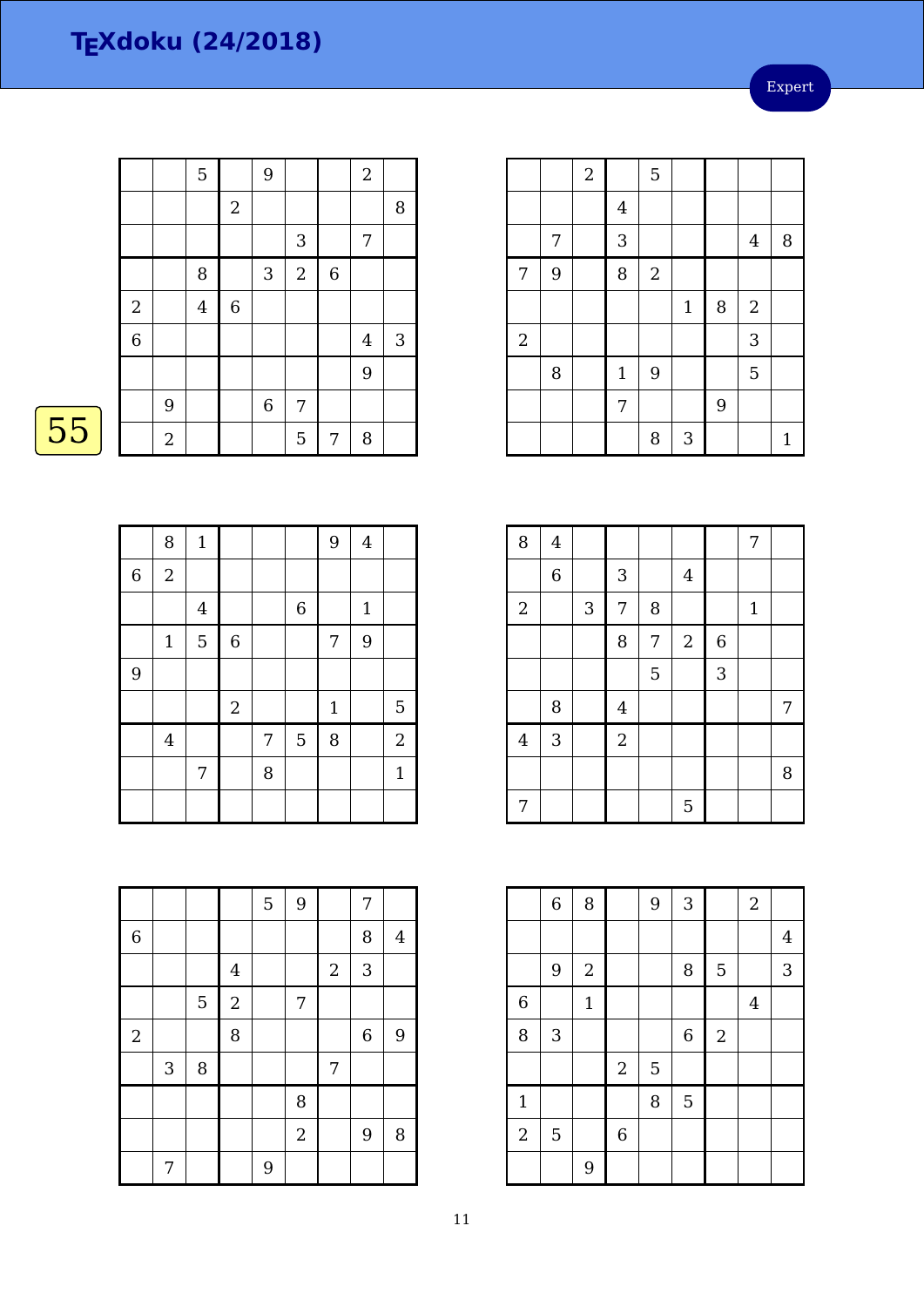Expert

|                |                  | 5              |                  | 9           |                |                | $\sqrt{2}$     |                           |
|----------------|------------------|----------------|------------------|-------------|----------------|----------------|----------------|---------------------------|
|                |                  |                | $\boldsymbol{2}$ |             |                |                |                | $\, 8$                    |
|                |                  |                |                  |             | 3              |                | 7              |                           |
|                |                  | 8              |                  | $\sqrt{3}$  | $\overline{2}$ | $\overline{6}$ |                |                           |
| $\overline{c}$ |                  | $\overline{4}$ | $\,$ 6 $\,$      |             |                |                |                |                           |
| $\overline{6}$ |                  |                |                  |             |                |                | $\overline{4}$ | $\ensuremath{\mathsf{3}}$ |
|                |                  |                |                  |             |                |                | 9              |                           |
|                | 9                |                |                  | $\,$ 6 $\,$ | 7              |                |                |                           |
|                | $\boldsymbol{2}$ |                |                  |             | 5              | 7              | 8              |                           |

|                  |   | $\overline{c}$ |                         | 5                |             |   |                  |        |
|------------------|---|----------------|-------------------------|------------------|-------------|---|------------------|--------|
|                  |   |                | $\overline{\mathbf{4}}$ |                  |             |   |                  |        |
|                  | 7 |                | 3                       |                  |             |   | $\overline{4}$   | $\, 8$ |
| $\overline{7}$   | 9 |                | 8                       | $\boldsymbol{2}$ |             |   |                  |        |
|                  |   |                |                         |                  | $\mathbf 1$ | 8 | $\boldsymbol{2}$ |        |
| $\boldsymbol{2}$ |   |                |                         |                  |             |   | 3                |        |
|                  | 8 |                | $\mathbf{1}$            | 9                |             |   | 5                |        |
|                  |   |                | 7                       |                  |             | 9 |                  |        |
|                  |   |                |                         | 8                | 3           |   |                  | 1      |

8 4 1 1 1 7 6 3 4 | 3 | 7 | 8 | 1 8 7 2 6  $5 \mid 3$ 8 4 1 1 7  $4 \mid 3 \mid \cdot \mid 2$  7 | | | | | 5

|                | $\overline{6}$ | 8                |             | 9              | $\overline{3}$ |            | $\overline{2}$ |                |
|----------------|----------------|------------------|-------------|----------------|----------------|------------|----------------|----------------|
|                |                |                  |             |                |                |            |                | $\overline{4}$ |
|                | 9              | $\boldsymbol{2}$ |             |                | 8              | 5          |                | 3              |
| 6              |                | $\mathbf{1}$     |             |                |                |            | $\overline{4}$ |                |
| 8              | 3              |                  |             |                | $\,$ 6 $\,$    | $\sqrt{2}$ |                |                |
|                |                |                  | $\sqrt{2}$  | $\overline{5}$ |                |            |                |                |
| $\mathbf{1}$   |                |                  |             | 8              | 5              |            |                |                |
| $\overline{2}$ | 5              |                  | $\,$ 6 $\,$ |                |                |            |                |                |
|                |                | 9                |             |                |                |            |                |                |

|                | 8              | $\mathbf 1$    |                |   |             | 9              | $\overline{4}$ |              |
|----------------|----------------|----------------|----------------|---|-------------|----------------|----------------|--------------|
| $\overline{6}$ | $\overline{2}$ |                |                |   |             |                |                |              |
|                |                | $\bf 4$        |                |   | $\,$ 6 $\,$ |                | $\mathbf 1$    |              |
|                | $\mathbf{1}$   | $\overline{5}$ | $\overline{6}$ |   |             | $\overline{7}$ | 9              |              |
| 9              |                |                |                |   |             |                |                |              |
|                |                |                | $\overline{c}$ |   |             | $\mathbf{1}$   |                | 5            |
|                | $\bf 4$        |                |                | 7 | 5           | 8              |                | $\sqrt{2}$   |
|                |                | 7              |                | 8 |             |                |                | $\mathbf{1}$ |
|                |                |                |                |   |             |                |                |              |

|             |            |        |                | 5 | 9              |            | 7           |                |
|-------------|------------|--------|----------------|---|----------------|------------|-------------|----------------|
| $\,$ 6 $\,$ |            |        |                |   |                |            | 8           | $\overline{4}$ |
|             |            |        | $\overline{4}$ |   |                | $\sqrt{2}$ | 3           |                |
|             |            | 5      | $\sqrt{2}$     |   | 7              |            |             |                |
| $\sqrt{2}$  |            |        | 8              |   |                |            | $\,$ 6 $\,$ | 9              |
|             | $\sqrt{3}$ | $\, 8$ |                |   |                | 7          |             |                |
|             |            |        |                |   | 8              |            |             |                |
|             |            |        |                |   | $\overline{2}$ |            | 9           | 8              |
|             | 7          |        |                | 9 |                |            |             |                |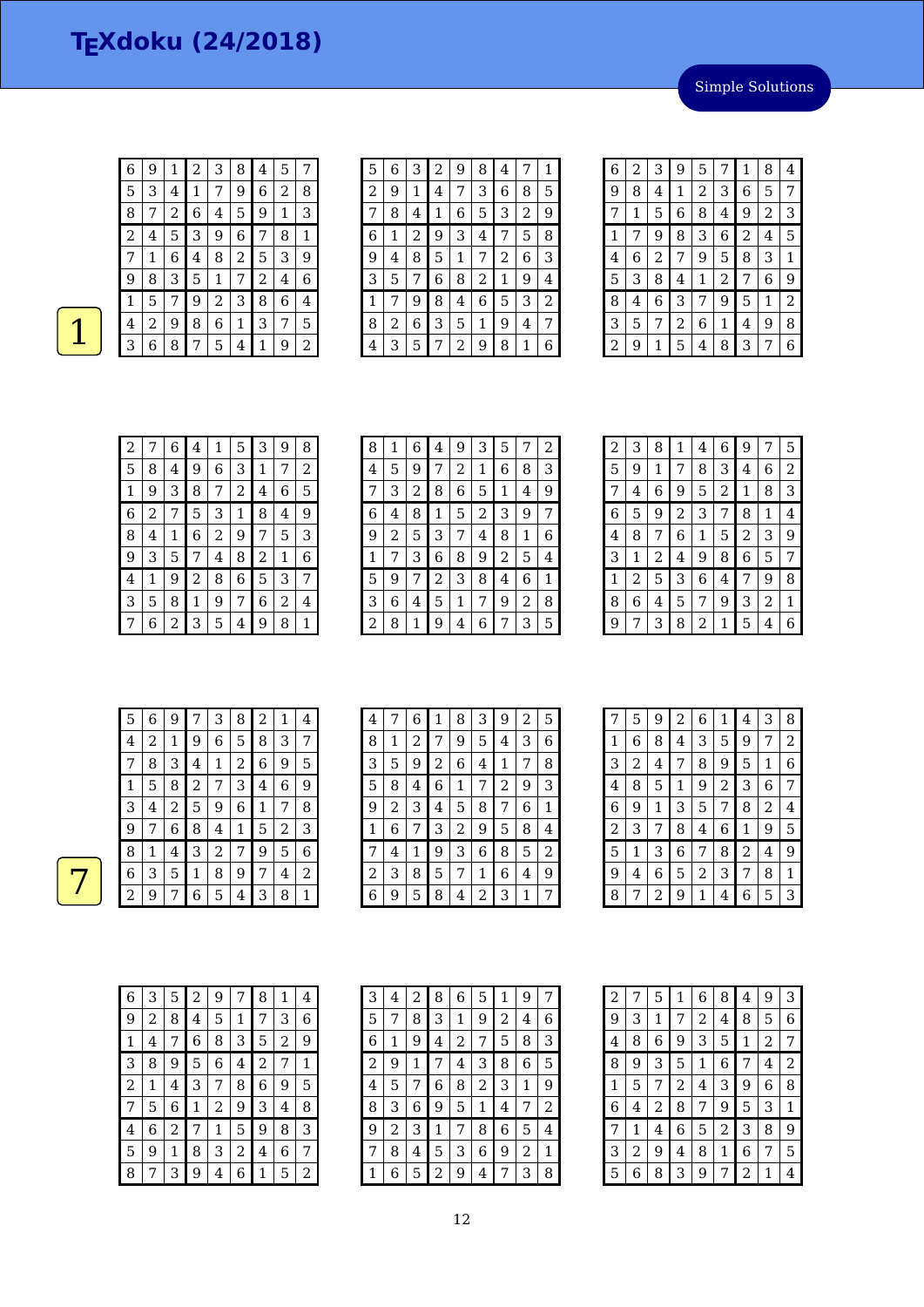$6 | 9 | 1 | 2 | 3 | 8 | 4 | 5 | 7$  3 4 1 7 9 6 2 8 7 2 6 4 5 9 1 3 2 4 5 3 9 6 7 8 1 1 6 4 8 2 5 3 9

 8 3 5 1 7 2 4 6 5 7 9 2 3 8 6 4

 $\begin{array}{|c|c|c|c|c|c|c|c|}\n\hline\n & 4 & 2 & 9 & 8 & 6 & 1 & 3 & 7 & 5 \\
\hline\n & 3 & 6 & 8 & 7 & 5 & 4 & 1 & 9 & 2 \\
\hline\n\end{array}$ 

| 5 6 3 2 9 8 4 7 1 |  |  |  |  |
|-------------------|--|--|--|--|
| 2 9 1 4 7 3 6 85  |  |  |  |  |

7 8 4 1 6 5 3 2 9 1 2 9 3 4 7 5 8 4 8 5 1 7 2 6 3

 5 7 6 8 2 1 9 4 7 9 8 4 6 5 3 2  $\begin{array}{|c|c|c|c|c|c|c|c|c|}\hline 8&2&6&3&5&1&9&4 \\ \hline 4&3&5&7&2&9&8&1 \\ \hline \end{array}$ 3 5 7 2 9 8 1 6

| 6 | 2 | 3              | 9              | 5            | 7              | 1              | 8 | 4 |
|---|---|----------------|----------------|--------------|----------------|----------------|---|---|
| 9 | 8 | 4              | 1              | 2            | 3              | 6              | 5 | 7 |
| 7 | 1 | 5              | 6              | 8            | 4              | 9              | 2 | З |
| 1 | 7 | 9              | 8              | 3            | 6              | $\overline{2}$ | 4 | 5 |
| 4 | 6 | $\overline{2}$ | 7              | 9            | 5              | 8              | 3 | 1 |
| 5 | 3 | 8              | 4              | $\mathbf{1}$ | $\overline{c}$ | 7              | 6 | 9 |
| 8 | 4 | 6              | 3              | 7            | 9              | 5              | 1 | 2 |
| 3 | 5 | 7              | $\overline{2}$ | 6            | 1              | 4              | 9 | 8 |
| 2 | 9 | 1              | 5              | 4            | 8              | 3              | 7 | 6 |

| 2 |   | 6 | 4 | 1 | 5 | 3 | 9 | 8 |
|---|---|---|---|---|---|---|---|---|
| 5 | 8 | 4 | 9 | 6 | 3 | 1 | 7 | 2 |
| 1 | 9 | 3 | 8 | 7 | 2 | 4 | 6 | 5 |
| 6 | 2 | 7 | 5 | 3 | 1 | 8 | 4 | 9 |
| 8 | 4 | 1 | 6 | 2 | 9 | 7 | 5 | 3 |
| 9 | 3 | 5 | 7 | 4 | 8 | 2 | 1 | 6 |
| 4 | 1 | 9 | 2 | 8 | 6 | 5 | 3 | 7 |
| 3 | 5 | 8 | 1 | 9 | 7 | 6 | 2 | 4 |
|   | 6 | 2 | 3 | 5 | 4 | 9 | 8 | 1 |

| 8 | 1 | 6 | 4 | 9 | 3 | 5 |   | 2 |
|---|---|---|---|---|---|---|---|---|
| 4 | 5 | 9 | 7 | 2 | 1 | 6 | 8 | 3 |
|   | 3 | 2 | 8 | 6 | 5 | 1 | 4 | 9 |
| 6 | 4 | 8 | 1 | 5 | 2 | 3 | 9 | 7 |
| 9 | 2 | 5 | 3 | 7 | 4 | 8 | 1 | 6 |
| 1 | 7 | З | 6 | 8 | 9 | 2 | 5 | 4 |
| 5 | 9 | 7 | 2 | 3 | 8 | 4 | 6 | 1 |
| З | 6 | 4 | 5 | 1 | 7 | 9 | 2 | 8 |
| 2 | 8 | 1 | 9 | 4 | 6 | 7 | 3 | 5 |

| 2 | 3 | 8 | 1              | 4 | 6 | 9 | 7 | 5 |
|---|---|---|----------------|---|---|---|---|---|
| 5 | 9 | 1 | 7              | 8 | 3 | 4 | 6 | 2 |
| 7 | 4 | 6 | 9              | 5 | 2 | 1 | 8 | 3 |
| 6 | 5 | 9 | $\overline{2}$ | 3 | 7 | 8 | 1 | 4 |
| 4 | 8 | 7 | 6              | 1 | 5 | 2 | 3 | 9 |
| 3 | 1 | 2 | 4              | 9 | 8 | 6 | 5 | 7 |
| 1 | 2 | 5 | 3              | 6 | 4 | 7 | 9 | 8 |
| 8 | 6 | 4 | 5              | 7 | 9 | 3 | 2 | 1 |
| 9 | 7 | 3 | 8              | 2 | 1 | 5 | 4 | 6 |
|   |   |   |                |   |   |   |   |   |

| 5 | 6           | 9 |                | 3              | 8              | 2 | 1 | 4 |
|---|-------------|---|----------------|----------------|----------------|---|---|---|
| 4 | 2           | 1 | 9              | 6              | 5              | 8 | 3 | 7 |
| 7 | 8           | 3 | 4              | 1              | $\overline{2}$ | 6 | 9 | 5 |
| 1 | 5           | 8 | $\overline{2}$ | 7              | 3              | 4 | 6 | 9 |
| 3 | 4           | 2 | 5              | 9              | 6              | 1 | 7 | 8 |
| 9 | 7           | 6 | 8              | 4              | $\mathbf 1$    | 5 | 2 | 3 |
| 8 | $\mathbf 1$ | 4 | 3              | $\overline{c}$ | 7              | 9 | 5 | 6 |
| 6 | 3           | 5 | 1              | 8              | 9              | 7 | 4 | 2 |
| 2 | 9           | 7 | 6              | 5              | 4              | 3 | 8 | 1 |

| 4 | 7 | 6 | 1              | 8 | 3              | 9 | 2 | 5 |
|---|---|---|----------------|---|----------------|---|---|---|
| 8 | 1 | 2 | 7              | 9 | 5              | 4 | 3 | 6 |
| 3 | 5 | 9 | $\overline{c}$ | 6 | 4              | 1 | 7 | 8 |
| 5 | 8 | 4 | 6              | 1 | 7              | 2 | 9 | 3 |
| 9 | 2 | 3 | 4              | 5 | 8              | 7 | 6 | 1 |
| 1 | 6 | 7 | 3              | 2 | 9              | 5 | 8 | 4 |
| 7 | 4 | 1 | 9              | 3 | 6              | 8 | 5 | 2 |
| 2 | З | 8 | 5              | 7 | 1              | 6 | 4 | 9 |
| 6 | 9 | 5 | 8              | 4 | $\overline{c}$ | 3 |   | 7 |

| 7 | 5 | 9 | 2 | 6 | 1              | 4 | 3 | 8 |
|---|---|---|---|---|----------------|---|---|---|
| 1 | 6 | 8 | 4 | 3 | 5              | 9 | 7 | 2 |
| 3 | 2 | 4 | 7 | 8 | 9              | 5 | 1 | 6 |
| 4 | 8 | 5 | 1 | 9 | $\overline{c}$ | 3 | 6 | 7 |
| 6 | 9 | 1 | 3 | 5 | 7              | 8 | 2 | 4 |
| 2 | 3 | 7 | 8 | 4 | 6              | 1 | 9 | 5 |
| 5 | 1 | 3 | 6 | 7 | 8              | 2 | 4 | 9 |
| 9 | 4 | 6 | 5 | 2 | 3              | 7 | 8 | 1 |
| 8 | 7 | 2 | 9 | 1 | 4              | 6 | 5 | 3 |

| 6 | З | 5 | 2 | 9              |   | 8 | 1 | 4 |
|---|---|---|---|----------------|---|---|---|---|
| 9 | 2 | 8 | 4 | 5              | 1 | 7 | 3 | 6 |
| 1 | 4 | 7 | 6 | 8              | 3 | 5 | 2 | 9 |
| 3 | 8 | 9 | 5 | 6              | 4 | 2 | 7 | 1 |
| 2 | 1 | 4 | 3 | 7              | 8 | 6 | 9 | 5 |
| 7 | 5 | 6 | 1 | $\overline{c}$ | 9 | 3 | 4 | 8 |
| 4 | 6 | 2 | 7 | 1              | 5 | 9 | 8 | 3 |
| 5 | 9 | 1 | 8 | 3              | 2 | 4 | 6 | 7 |
| 8 |   | 3 | 9 | 4              | 6 | 1 | 5 | 2 |

| 3              | 4 | 2 | 8 | 6 | 5 | 1 | 9 | 7 |
|----------------|---|---|---|---|---|---|---|---|
| 5              | 7 | 8 | З | 1 | 9 | 2 | 4 | 6 |
| 6              | 1 | 9 | 4 | 2 | 7 | 5 | 8 | З |
| $\overline{c}$ | 9 | 1 | 7 | 4 | З | 8 | 6 | 5 |
| 4              | 5 | 7 | 6 | 8 | 2 | 3 | 1 | 9 |
| 8              | 3 | 6 | 9 | 5 | 1 | 4 | 7 | 2 |
| 9              | 2 | З | 1 | 7 | 8 | 6 | 5 | 4 |
| 7              | 8 | 4 | 5 | З | 6 | 9 | 2 | 1 |
|                | 6 | 5 | 2 | 9 | 4 |   | 3 | 8 |

| $\overline{c}$ | 7 | 5 | 1 | 6 | 8              | $\overline{\mathbf{4}}$ | 9 | 3 |
|----------------|---|---|---|---|----------------|-------------------------|---|---|
| 9              | 3 | 1 | 7 | 2 | 4              | 8                       | 5 | 6 |
| 4              | 8 | 6 | 9 | 3 | 5              | $\mathbf{1}$            | 2 | 7 |
| 8              | 9 | 3 | 5 | 1 | 6              | 7                       | 4 | 2 |
| 1              | 5 | 7 | 2 | 4 | 3              | 9                       | 6 | 8 |
| 6              | 4 | 2 | 8 | 7 | 9              | 5                       | 3 | 1 |
| 7              | 1 | 4 | 6 | 5 | $\overline{c}$ | 3                       | 8 | 9 |
| 3              | 2 | 9 | 4 | 8 | 1              | 6                       | 7 | 5 |
| 5              | 6 | 8 | 3 | 9 | 7              | 2                       | 1 | 4 |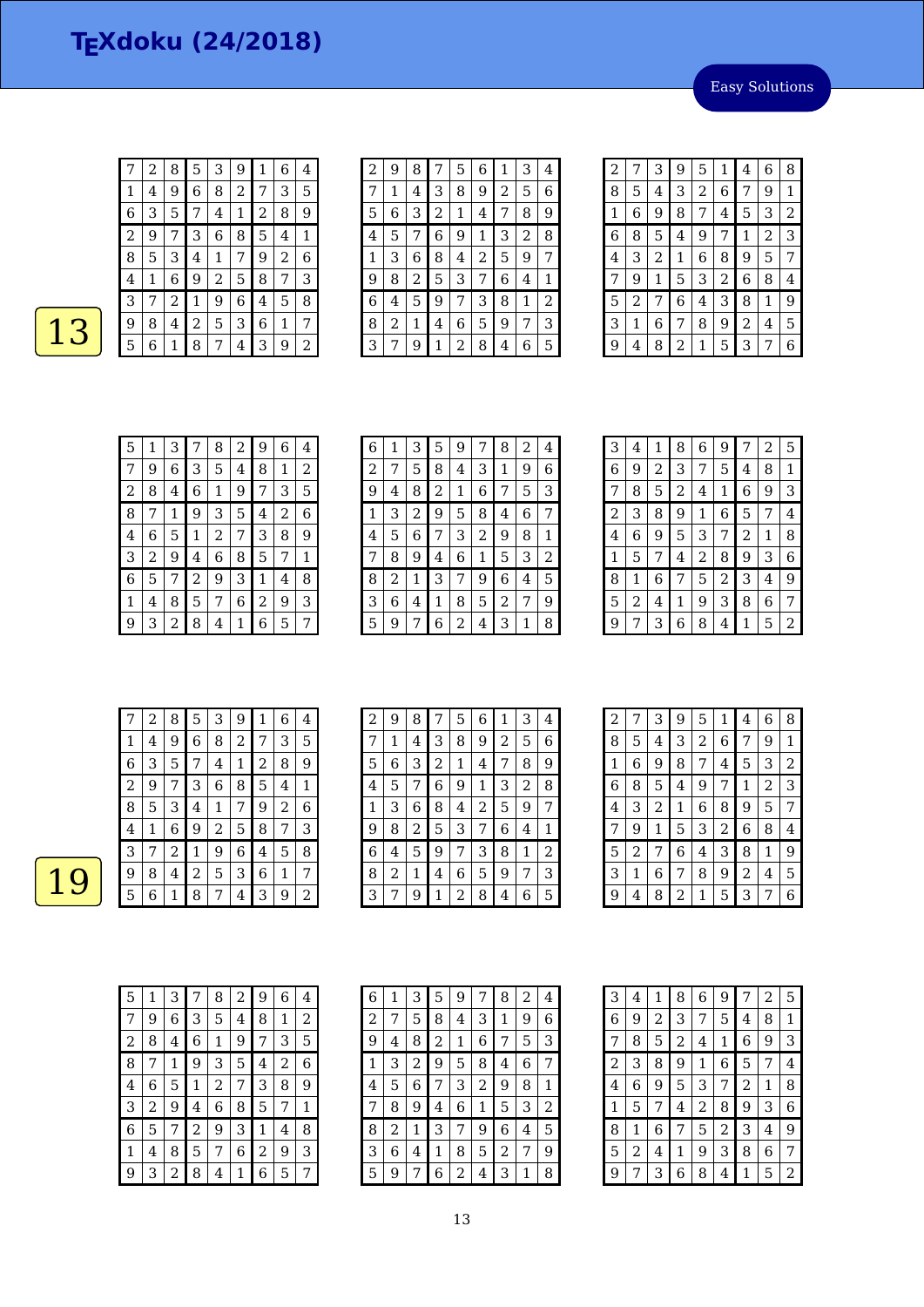Easy Solutions

|   | 2              | 8                       | 5            | 3                | 9     | 1 | 6 | 4 |
|---|----------------|-------------------------|--------------|------------------|-------|---|---|---|
| 1 | $\overline{4}$ | 9                       | 6            | 8                | 2     | 7 | 3 | 5 |
| 6 | З              | 5                       | 7            | 4                | $1\,$ | 2 | 8 | 9 |
| 2 | 9              | 7                       | 3            | 6                | 8     | 5 | 4 | 1 |
| 8 | 5              | 3                       | 4            | 1                | 7     | 9 | 2 | 6 |
| 4 | 1              | 6                       | 9            | $\boldsymbol{2}$ | 5     | 8 | 7 | 3 |
| З | 7              | $\overline{\mathbf{c}}$ | $\mathbf{1}$ | 9                | 6     | 4 | 5 | 8 |
| 9 | 8              | 4                       | 2            | 5                | 3     | 6 | 1 | 7 |
| 5 | 6              | 1                       | 8            | 7                | 4     | 3 | 9 | 2 |

| 2 | 9 | 8 |                | 5 | 6 | 1 | 3 | $\overline{\mathbf{4}}$ |
|---|---|---|----------------|---|---|---|---|-------------------------|
| 7 | 1 | 4 | 3              | 8 | 9 | 2 | 5 | 6                       |
| 5 | 6 | З | $\overline{c}$ | 1 | 4 | 7 | 8 | 9                       |
| 4 | 5 | 7 | 6              | 9 | 1 | 3 | 2 | 8                       |
| 1 | 3 | 6 | 8              | 4 | 2 | 5 | 9 | 7                       |
| 9 | 8 | 2 | 5              | 3 | 7 | 6 | 4 | 1                       |
| 6 | 4 | 5 | 9              | 7 | 3 | 8 | 1 | 2                       |
| 8 | 2 | 1 | 4              | 6 | 5 | 9 | 7 | З                       |
| 3 |   | 9 | 1              | 2 | 8 | 4 | 6 | 5                       |

| 2 | 7 | 3 | 9 | 5              | 1              | 4              | 6            | 8 |
|---|---|---|---|----------------|----------------|----------------|--------------|---|
| 8 | 5 | 4 | 3 | $\overline{c}$ | 6              | 7              | 9            | 1 |
| 1 | 6 | 9 | 8 | 7              | 4              | 5              | 3            | 2 |
| 6 | 8 | 5 | 4 | 9              | 7              | $\mathbf{1}$   | 2            | 3 |
| 4 | 3 | 2 | 1 | 6              | 8              | 9              | 5            | 7 |
| 7 | 9 | 1 | 5 | 3              | $\overline{c}$ | 6              | 8            | 4 |
| 5 | 2 | 7 | 6 | 4              | 3              | 8              | $\mathbf{1}$ | 9 |
| 3 | 1 | 6 | 7 | 8              | 9              | $\overline{2}$ | 4            | 5 |
| 9 | 4 | 8 | 2 | 1              | 5              | 3              | 7            | 6 |

| 5 | 1 | 3 | 7 | 8 | 2 | 9 | 6 | 4 |
|---|---|---|---|---|---|---|---|---|
| 7 | 9 | 6 | 3 | 5 | 4 | 8 | 1 | 2 |
| 2 | 8 | 4 | 6 | 1 | 9 | 7 | 3 | 5 |
| 8 | 7 | 1 | 9 | 3 | 5 | 4 | 2 | 6 |
| 4 | 6 | 5 | 1 | 2 | 7 | 3 | 8 | 9 |
| 3 | 2 | 9 | 4 | 6 | 8 | 5 | 7 | 1 |
| 6 | 5 | 7 | 2 | 9 | 3 | 1 | 4 | 8 |
| 1 | 4 | 8 | 5 | 7 | 6 | 2 | 9 | 3 |
| 9 | З | 2 | 8 | 4 | 1 | 6 | 5 | 7 |

| 6 | 1 | З | 5 | 9 | 7 | 8 | 2 | 4 |
|---|---|---|---|---|---|---|---|---|
| 2 | 7 | 5 | 8 | 4 | З | 1 | 9 | 6 |
| 9 | 4 | 8 | 2 | 1 | 6 | 7 | 5 | З |
| 1 | З | 2 | 9 | 5 | 8 | 4 | 6 | 7 |
| 4 | 5 | 6 | 7 | 3 | 2 | 9 | 8 | 1 |
| 7 | 8 | 9 | 4 | 6 | 1 | 5 | 3 | 2 |
| 8 | 2 | 1 | 3 | 7 | 9 | 6 | 4 | 5 |
| 3 | 6 | 4 | 1 | 8 | 5 | 2 | 7 | 9 |
| 5 | 9 | 7 | 6 | 2 | 4 | 3 | 1 | 8 |

| 4 | 1              | 8 | 6              | 9              | 7 | 2 | 5 |
|---|----------------|---|----------------|----------------|---|---|---|
| 9 | $\overline{c}$ | 3 | 7              | 5              | 4 | 8 | 1 |
| 8 | 5              | 2 | 4              | 1              | 6 | 9 | 3 |
| 3 | 8              | 9 | 1              | 6              | 5 | 7 | 4 |
| 6 | 9              | 5 | 3              | 7              | 2 | 1 | 8 |
| 5 | 7              | 4 | $\overline{2}$ | 8              | 9 | 3 | 6 |
| 1 | 6              | 7 | 5              | $\overline{2}$ | 3 | 4 | 9 |
| 2 | 4              | 1 | 9              | 3              | 8 | 6 | 7 |
| 7 | 3              | 6 | 8              | 4              | 1 | 5 | 2 |
|   |                |   |                |                |   |   |   |

|   | $\overline{2}$ | 8 | 5           | 3 | 9 | 1 | 6 | 4 |
|---|----------------|---|-------------|---|---|---|---|---|
| 1 | 4              | 9 | 6           | 8 | 2 | 7 | 3 | 5 |
| 6 | З              | 5 | 7           | 4 | 1 | 2 | 8 | 9 |
| 2 | 9              | 7 | 3           | 6 | 8 | 5 | 4 | 1 |
| 8 | 5              | 3 | 4           | 1 | 7 | 9 | 2 | 6 |
| 4 | 1              | 6 | 9           | 2 | 5 | 8 | 7 | 3 |
| 3 | 7              | 2 | $\mathbf 1$ | 9 | 6 | 4 | 5 | 8 |
| 9 | 8              | 4 | 2           | 5 | З | 6 | 1 | 7 |
| 5 | 6              | 1 | 8           | 7 | 4 | 3 | 9 | 2 |

| 2 | 9 | 8 | 7            | 5              | 6 | 1 | 3              | 4 |
|---|---|---|--------------|----------------|---|---|----------------|---|
| 7 | 1 | 4 | 3            | 8              | 9 | 2 | 5              | 6 |
| 5 | 6 | 3 | 2            | 1              | 4 | 7 | 8              | 9 |
| 4 | 5 | 7 | 6            | 9              | 1 | 3 | $\overline{2}$ | 8 |
| 1 | 3 | 6 | 8            | 4              | 2 | 5 | 9              | 7 |
| 9 | 8 | 2 | 5            | 3              | 7 | 6 | 4              | 1 |
| 6 | 4 | 5 | 9            | 7              | 3 | 8 | 1              | 2 |
| 8 | 2 | 1 | 4            | 6              | 5 | 9 | 7              | 3 |
| 3 |   | 9 | $\mathbf{1}$ | $\overline{2}$ | 8 | 4 | 6              | 5 |

| $\overline{a}$ | 7 | 3              | 9              | 5 | 1              | 4              | 6 | 8 |
|----------------|---|----------------|----------------|---|----------------|----------------|---|---|
| 8              | 5 | 4              | 3              | 2 | 6              | 7              | 9 | 1 |
| 1              | 6 | 9              | 8              | 7 | 4              | 5              | 3 | 2 |
| 6              | 8 | 5              | 4              | 9 | 7              | 1              | 2 | 3 |
| 4              | 3 | $\overline{c}$ | 1              | 6 | 8              | 9              | 5 | 7 |
| 7              | 9 | $\mathbf 1$    | 5              | 3 | $\overline{c}$ | 6              | 8 | 4 |
| 5              | 2 | 7              | 6              | 4 | 3              | 8              | 1 | 9 |
| 3              | 1 | 6              | 7              | 8 | 9              | $\overline{2}$ | 4 | 5 |
| 9              | 4 | 8              | $\overline{c}$ | 1 | 5              | 3              | 7 | 6 |

| 5              | 1 | З |                | 8              | 2 | 9 | 6 | 4 |
|----------------|---|---|----------------|----------------|---|---|---|---|
| 7              | 9 | 6 | 3              | 5              | 4 | 8 | 1 | 2 |
| $\overline{c}$ | 8 | 4 | 6              | 1              | 9 | 7 | 3 | 5 |
| 8              | 7 | 1 | 9              | 3              | 5 | 4 | 2 | 6 |
| 4              | 6 | 5 | 1              | $\overline{c}$ | 7 | З | 8 | 9 |
| 3              | 2 | 9 | 4              | 6              | 8 | 5 | 7 | 1 |
| 6              | 5 | 7 | $\overline{2}$ | 9              | З | 1 | 4 | 8 |
| 1              | 4 | 8 | 5              | 7              | 6 | 2 | 9 | 3 |
| g              | З | 2 | 8              | 4              | 1 | 6 | 5 |   |

| 6 | 1 | 3 | 5 | 9 | 7              | 8 | 2 | 4              |
|---|---|---|---|---|----------------|---|---|----------------|
| 2 | 7 | 5 | 8 | 4 | З              | 1 | 9 | 6              |
| 9 | 4 | 8 | 2 | 1 | 6              | 7 | 5 | З              |
| 1 | 3 | 2 | 9 | 5 | 8              | 4 | 6 | 7              |
| 4 | 5 | 6 | 7 | 3 | $\overline{c}$ | 9 | 8 | 1              |
| 7 | 8 | 9 | 4 | 6 | 1              | 5 | 3 | $\overline{c}$ |
| 8 | 2 | 1 | 3 | 7 | 9              | 6 | 4 | 5              |
| 3 | 6 | 4 | 1 | 8 | 5              | 2 | 7 | 9              |
| 5 | 9 | 7 | 6 | 2 | 4              | 3 | 1 | 8              |

| 3              | 4 | 1 | 8              | 6              | 9                | 7              | 2 | 5 |
|----------------|---|---|----------------|----------------|------------------|----------------|---|---|
| 6              | 9 | 2 | 3              | 7              | 5                | 4              | 8 | 1 |
| 7              | 8 | 5 | $\overline{c}$ | 4              | $\mathbf{1}$     | 6              | 9 | 3 |
| $\overline{c}$ | 3 | 8 | 9              | 1              | $\boldsymbol{6}$ | 5              | 7 | 4 |
| 4              | 6 | 9 | 5              | 3              | 7                | $\overline{c}$ | 1 | 8 |
| 1              | 5 | 7 | 4              | $\overline{c}$ | 8                | 9              | 3 | 6 |
| 8              | 1 | 6 | 7              | 5              | $\overline{c}$   | 3              | 4 | 9 |
| 5              | 2 | 4 | 1              | 9              | 3                | 8              | 6 | 7 |
| 9              | 7 | З | 6              | 8              | 4                | 1              | 5 | 2 |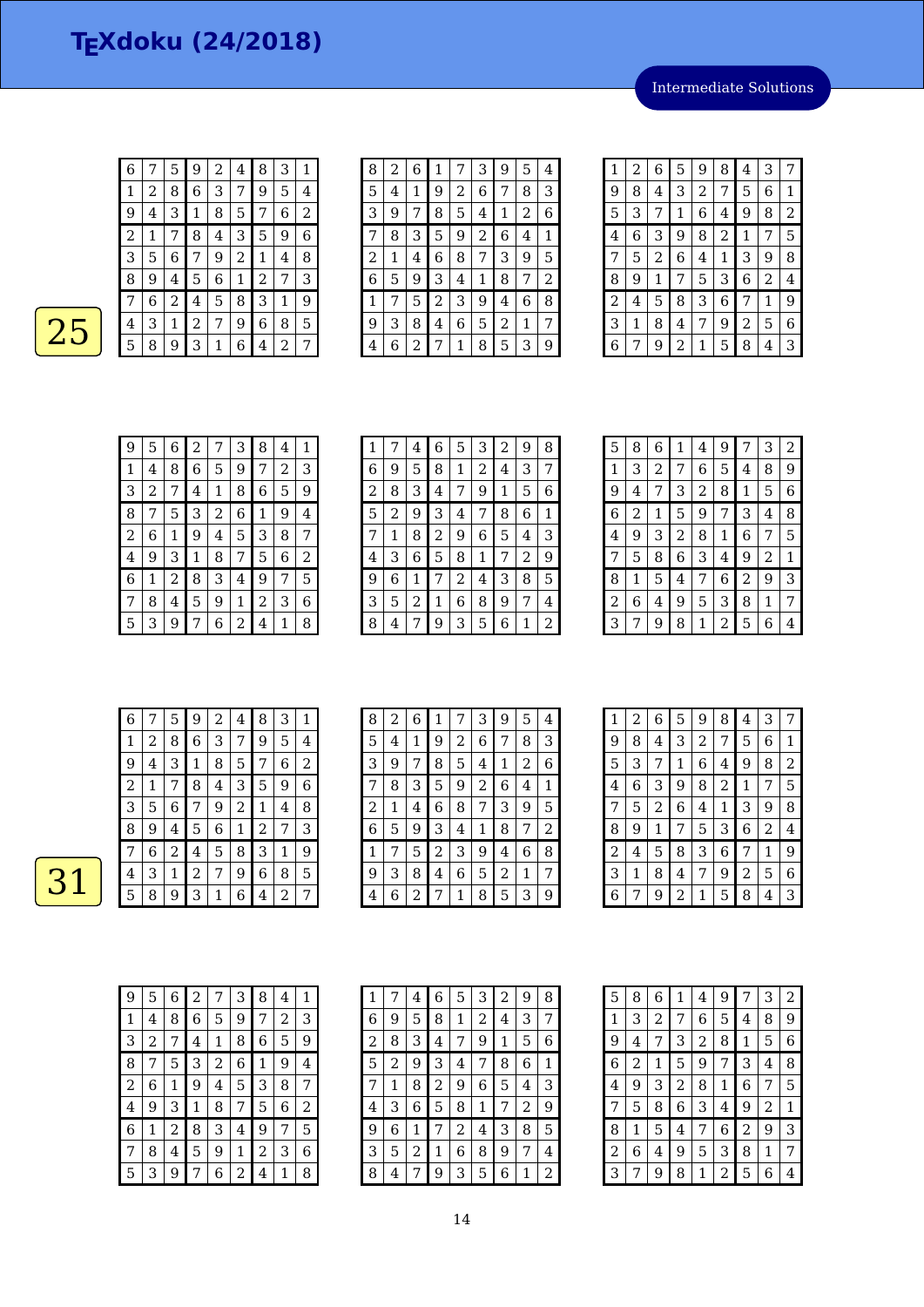Intermediate Solutions

| ı |  |
|---|--|
|   |  |
|   |  |

| 6 |   | 5                       | 9            | 2 | 4 | 8 | 3 | 1 |
|---|---|-------------------------|--------------|---|---|---|---|---|
| 1 | 2 | 8                       | 6            | 3 | 7 | 9 | 5 | 4 |
| 9 | 4 | 3                       | $\mathbf{1}$ | 8 | 5 | 7 | 6 | 2 |
| 2 | 1 | 7                       | 8            | 4 | 3 | 5 | 9 | 6 |
| 3 | 5 | 6                       | 7            | 9 | 2 | 1 | 4 | 8 |
| 8 | 9 | 4                       | 5            | 6 | 1 | 2 | 7 | 3 |
| 7 | 6 | $\overline{\mathbf{c}}$ | 4            | 5 | 8 | 3 | 1 | 9 |
| 4 | 3 | 1                       | 2            | 7 | 9 | 6 | 8 | 5 |
| 5 | 8 | 9                       | 3            | 1 | 6 | 4 | 2 | 7 |

| 8              | 2 | 6 | 1 |   | 3 | 9              | 5 | 4 |
|----------------|---|---|---|---|---|----------------|---|---|
| 5              | 4 | 1 | 9 | 2 | 6 | 7              | 8 | 3 |
| 3              | 9 | 7 | 8 | 5 | 4 | 1              | 2 | 6 |
| 7              | 8 | З | 5 | 9 | 2 | 6              | 4 | 1 |
| $\overline{2}$ | 1 | 4 | 6 | 8 | 7 | 3              | 9 | 5 |
| 6              | 5 | 9 | 3 | 4 | 1 | 8              | 7 | 2 |
| 1              | 7 | 5 | 2 | 3 | 9 | 4              | 6 | 8 |
| 9              | З | 8 | 4 | 6 | 5 | $\overline{c}$ | 1 | 7 |
| 4              | 6 | 2 | 7 | 1 | 8 | 5              | 3 | 9 |

| 1 | 2 | 6 | 5 | 9 | 8 | 4 | 3 | 7 |
|---|---|---|---|---|---|---|---|---|
| 9 | 8 | 4 | 3 | 2 | 7 | 5 | 6 | 1 |
| 5 | З | 7 | 1 | 6 | 4 | 9 | 8 | 2 |
| 4 | 6 | 3 | 9 | 8 | 2 | 1 | 7 | 5 |
| 7 | 5 | 2 | 6 | 4 | 1 | 3 | 9 | 8 |
| 8 | 9 | 1 | 7 | 5 | З | 6 | 2 | 4 |
| 2 | 4 | 5 | 8 | 3 | 6 | 7 | 1 | 9 |
| 3 | 1 | 8 | 4 | 7 | 9 | 2 | 5 | 6 |
| 6 | 7 | 9 | 2 | 1 | 5 | 8 | 4 | З |

| 9            | 5 | 6 | 2 | 7 | 3 | 8 | 4 | 1 |
|--------------|---|---|---|---|---|---|---|---|
| $\mathbf{1}$ | 4 | 8 | 6 | 5 | 9 | 7 | 2 | 3 |
| 3            | 2 | 7 | 4 | 1 | 8 | 6 | 5 | 9 |
| 8            | 7 | 5 | 3 | 2 | 6 | 1 | 9 | 4 |
| 2            | 6 | 1 | 9 | 4 | 5 | 3 | 8 | 7 |
| 4            | 9 | 3 | 1 | 8 | 7 | 5 | 6 | 2 |
| 6            | 1 | 2 | 8 | 3 | 4 | 9 | 7 | 5 |
|              | 8 | 4 | 5 | 9 | 1 | 2 | 3 | 6 |
| 5            | 3 | 9 | 7 | 6 | 2 | 4 | 1 | 8 |

| 1 | 7 | 4 | 6 | 5 | 3 | 2 | 9 | 8 |
|---|---|---|---|---|---|---|---|---|
| 6 | 9 | 5 | 8 | 1 | 2 | 4 | 3 | 7 |
| 2 | 8 | З | 4 | 7 | 9 | 1 | 5 | 6 |
| 5 | 2 | 9 | 3 | 4 | 7 | 8 | 6 | 1 |
| 7 | 1 | 8 | 2 | 9 | 6 | 5 | 4 | 3 |
| 4 | З | 6 | 5 | 8 | 1 | 7 | 2 | 9 |
| 9 | 6 | 1 | 7 | 2 | 4 | 3 | 8 | 5 |
| 3 | 5 | 2 | 1 | 6 | 8 | 9 | 7 | 4 |
| 8 | 4 | 7 | 9 | 3 | 5 | 6 | 1 | 2 |

| 5              | 8 | 6 | 1              | 4 | 9 | 7 | 3           | 2 |
|----------------|---|---|----------------|---|---|---|-------------|---|
| 1              | 3 | 2 | 7              | 6 | 5 | 4 | 8           | 9 |
| 9              | 4 | 7 | 3              | 2 | 8 | 1 | 5           | 6 |
| 6              | 2 | 1 | 5              | 9 | 7 | 3 | 4           | 8 |
| 4              | 9 | 3 | $\overline{c}$ | 8 | 1 | 6 | 7           | 5 |
| 7              | 5 | 8 | 6              | 3 | 4 | 9 | 2           | 1 |
| 8              | 1 | 5 | 4              | 7 | 6 | 2 | 9           | 3 |
| $\overline{c}$ | 6 | 4 | 9              | 5 | 3 | 8 | $\mathbf 1$ | 7 |
| 3              | 7 | 9 | 8              | 1 | 2 | 5 | 6           | 4 |

| 6 |   | 5 | 9 | 2 | 4           | 8           | 3 | 1 |
|---|---|---|---|---|-------------|-------------|---|---|
| 1 | 2 | 8 | 6 | З | 7           | 9           | 5 | 4 |
| 9 | 4 | З | 1 | 8 | 5           | 7           | 6 | 2 |
| 2 | 1 | 7 | 8 | 4 | 3           | 5           | 9 | 6 |
| 3 | 5 | 6 | 7 | 9 | 2           | $\mathbf 1$ | 4 | 8 |
| 8 | 9 | 4 | 5 | 6 | $\mathbf 1$ | 2           | 7 | 3 |
|   | 6 | 2 | 4 | 5 | 8           | 3           | 1 | 9 |
| 4 | 3 | 1 | 2 | 7 | 9           | 6           | 8 | 5 |
| 5 | 8 | 9 | З | 1 | 6           | 4           | 2 |   |

| 8 | $\overline{2}$ | 6 | $\mathbf{1}$ | 7 | 3 | 9 | 5 | 4 |
|---|----------------|---|--------------|---|---|---|---|---|
| 5 | 4              | 1 | 9            | 2 | 6 | 7 | 8 | 3 |
| 3 | 9              | 7 | 8            | 5 | 4 | 1 | 2 | 6 |
| 7 | 8              | З | 5            | 9 | 2 | 6 | 4 | 1 |
| 2 | 1              | 4 | 6            | 8 | 7 | 3 | 9 | 5 |
| 6 | 5              | 9 | 3            | 4 | 1 | 8 | 7 | 2 |
| 1 | 7              | 5 | 2            | 3 | 9 | 4 | 6 | 8 |
| 9 | 3              | 8 | 4            | 6 | 5 | 2 | 1 | 7 |
| 4 | 6              | 2 | 7            | 1 | 8 | 5 | 3 | 9 |

| $\mathbf{1}$ | 2 | 6              | 5 | 9              | 8 | 4 | 3 | 7 |
|--------------|---|----------------|---|----------------|---|---|---|---|
| 9            | 8 | 4              | 3 | $\overline{c}$ | 7 | 5 | 6 | 1 |
| 5            | 3 | 7              | 1 | 6              | 4 | 9 | 8 | 2 |
| 4            | 6 | З              | 9 | 8              | 2 | 1 | 7 | 5 |
| 7            | 5 | $\overline{c}$ | 6 | 4              | 1 | 3 | 9 | 8 |
| 8            | 9 | 1              | 7 | 5              | 3 | 6 | 2 | 4 |
| 2            | 4 | 5              | 8 | 3              | 6 | 7 | 1 | 9 |
| 3            | 1 | 8              | 4 | 7              | 9 | 2 | 5 | 6 |
| 6            | 7 | 9              | 2 | 1              | 5 | 8 | 4 | 3 |

| 9              | 5 | 6 | 2 | 7 | 3 | 8 | 4 | 1 |
|----------------|---|---|---|---|---|---|---|---|
| 1              | 4 | 8 | 6 | 5 | 9 | 7 | 2 | 3 |
| 3              | 2 | 7 | 4 | 1 | 8 | 6 | 5 | 9 |
| 8              | 7 | 5 | 3 | 2 | 6 | 1 | 9 | 4 |
| $\overline{c}$ | 6 | 1 | 9 | 4 | 5 | З | 8 | 7 |
| 4              | 9 | 3 | 1 | 8 | 7 | 5 | 6 | 2 |
| 6              | 1 | 2 | 8 | 3 | 4 | 9 | 7 | 5 |
| 7              | 8 | 4 | 5 | 9 | 1 | 2 | З | 6 |
| 5              | З | g |   | 6 | 2 | 4 | 1 | 8 |

| 1 | 7              | 4 | 6 | 5              | 3            | 2 | 9 | 8 |
|---|----------------|---|---|----------------|--------------|---|---|---|
| 6 | 9              | 5 | 8 | 1              | 2            | 4 | 3 | 7 |
| 2 | 8              | 3 | 4 | 7              | 9            | 1 | 5 | 6 |
| 5 | $\overline{c}$ | 9 | 3 | 4              | 7            | 8 | 6 | 1 |
| 7 | 1              | 8 | 2 | 9              | 6            | 5 | 4 | 3 |
| 4 | 3              | 6 | 5 | 8              | $\mathbf{1}$ | 7 | 2 | 9 |
| 9 | 6              | 1 | 7 | $\overline{c}$ | 4            | 3 | 8 | 5 |
| 3 | 5              | 2 | 1 | 6              | 8            | 9 | 7 | 4 |
| 8 | 4              | 7 | 9 | 3              | 5            | 6 | 1 | 2 |

| 5              | 8 | 6 | 1 | 4 | 9 | 7              | 3           | 2 |
|----------------|---|---|---|---|---|----------------|-------------|---|
| 1              | 3 | 2 | 7 | 6 | 5 | 4              | 8           | 9 |
| 9              | 4 | 7 | 3 | 2 | 8 | 1              | 5           | 6 |
| 6              | 2 | 1 | 5 | 9 | 7 | 3              | 4           | 8 |
| 4              | 9 | 3 | 2 | 8 | 1 | 6              | 7           | 5 |
| 7              | 5 | 8 | 6 | 3 | 4 | 9              | 2           | 1 |
| 8              | 1 | 5 | 4 | 7 | 6 | $\overline{c}$ | 9           | 3 |
| $\overline{c}$ | 6 | 4 | 9 | 5 | 3 | 8              | $\mathbf 1$ | 7 |
| 3              | 7 | 9 | 8 | 1 | 2 | 5              | 6           | 4 |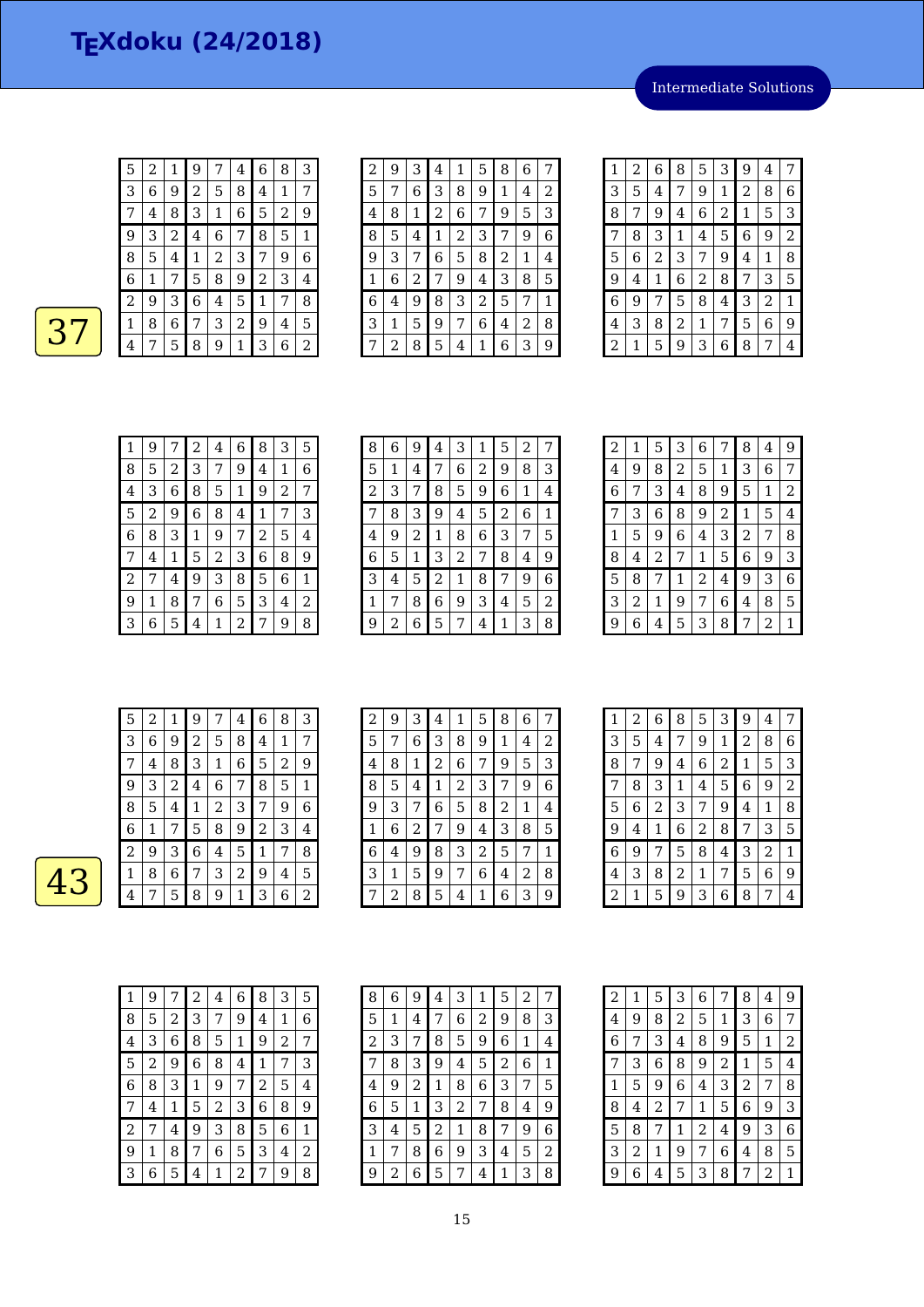Intermediate Solutions

| 5                | 2            | 1 | 9              | 7              | 4              | 6              | 8 | З |  |
|------------------|--------------|---|----------------|----------------|----------------|----------------|---|---|--|
| 3                | 6            | 9 | $\overline{2}$ | 5              | 8              | 4              | 1 | 7 |  |
| 7                | 4            | 8 | 3              | $\mathbf{1}$   | 6              | 5              | 2 | 9 |  |
| 9                | 3            | 2 | 4              | 6              | 7              | 8              | 5 | 1 |  |
| 8                | 5            | 4 | $\mathbf 1$    | $\overline{2}$ | 3              | 7              | 9 | 6 |  |
| $\boldsymbol{6}$ | $\mathbf{1}$ | 7 | 5              | 8              | 9              | $\overline{c}$ | 3 | 4 |  |
| $\overline{c}$   | 9            | 3 | 6              | 4              | 5              | 1              | 7 | 8 |  |
| 1                | 8            | 6 | 7              | 3              | $\overline{2}$ | 9              | 4 | 5 |  |
| $\overline{4}$   | 7            | 5 | 8              | 9              | 1              | 3              | 6 | 2 |  |

| 2 | 9 | 3 | 4              | 1 | 5 | 8 | 6 |   |
|---|---|---|----------------|---|---|---|---|---|
| 5 |   | 6 | 3              | 8 | 9 | 1 | 4 | 2 |
| 4 | 8 | 1 | $\overline{c}$ | 6 | 7 | 9 | 5 | 3 |
| 8 | 5 | 4 | 1              | 2 | 3 | 7 | 9 | 6 |
| 9 | 3 | 7 | 6              | 5 | 8 | 2 | 1 | 4 |
| 1 | 6 | 2 | 7              | 9 | 4 | 3 | 8 | 5 |
| 6 | 4 | 9 | 8              | 3 | 2 | 5 | 7 | 1 |
| 3 | 1 | 5 | 9              | 7 | 6 | 4 | 2 | 8 |
|   | 2 | 8 | 5              | 4 | 1 | 6 | 3 | 9 |

| 1 | 2 | 6 | 8 | 5 | 3              | 9 | 4              | 7              |
|---|---|---|---|---|----------------|---|----------------|----------------|
| 3 | 5 | 4 | 7 | 9 | 1              | 2 | 8              | 6              |
| 8 | 7 | 9 | 4 | 6 | $\overline{c}$ | 1 | 5              | 3              |
| 7 | 8 | 3 | 1 | 4 | 5              | 6 | 9              | $\overline{2}$ |
| 5 | 6 | 2 | 3 | 7 | 9              | 4 | 1              | 8              |
| 9 | 4 | 1 | 6 | 2 | 8              | 7 | 3              | 5              |
| 6 | 9 | 7 | 5 | 8 | 4              | 3 | $\overline{c}$ | 1              |
| 4 | 3 | 8 | 2 | 1 | 7              | 5 | 6              | 9              |
| 2 | 1 | 5 | 9 | 3 | 6              | 8 | 7              | 4              |

| 1              | 9 |   | 2 | 4 | 6 | 8                | 3 | 5 |
|----------------|---|---|---|---|---|------------------|---|---|
| 8              | 5 | 2 | 3 | 7 | 9 | 4                | 1 | 6 |
| 4              | 3 | 6 | 8 | 5 | 1 | 9                | 2 | 7 |
| 5              | 2 | 9 | 6 | 8 | 4 | 1                | 7 | З |
| 6              | 8 | 3 | 1 | 9 | 7 | 2                | 5 | 4 |
| 7              | 4 | 1 | 5 | 2 | 3 | $\boldsymbol{6}$ | 8 | 9 |
| $\overline{2}$ | 7 | 4 | 9 | 3 | 8 | 5                | 6 | 1 |
| 9              | 1 | 8 | 7 | 6 | 5 | 3                | 4 | 2 |
| 3              | 6 | 5 | 4 | 1 | 2 |                  | 9 | 8 |

| 8 | 6 | 9 | 4 | 3 | 1 | 5 | 2            | 7 |
|---|---|---|---|---|---|---|--------------|---|
| 5 | 1 | 4 | 7 | 6 | 2 | 9 | 8            | 3 |
| 2 | 3 | 7 | 8 | 5 | 9 | 6 | $\mathbf{1}$ | 4 |
| 7 | 8 | З | 9 | 4 | 5 | 2 | 6            | 1 |
| 4 | 9 | 2 | 1 | 8 | 6 | 3 | 7            | 5 |
| 6 | 5 | 1 | 3 | 2 | 7 | 8 | 4            | 9 |
| 3 | 4 | 5 | 2 | 1 | 8 | 7 | 9            | 6 |
| 1 | 7 | 8 | 6 | 9 | 3 | 4 | 5            | 2 |
| 9 | 2 | 6 | 5 | 7 | 4 | 1 | З            | 8 |

| 2 | 1 | 5              | 3 | 6 | 7 | 8 | 4 | 9 |
|---|---|----------------|---|---|---|---|---|---|
| 4 | 9 | 8              | 2 | 5 | 1 | 3 | 6 | 7 |
| 6 | 7 | 3              | 4 | 8 | 9 | 5 | 1 | 2 |
| 7 | 3 | 6              | 8 | 9 | 2 | 1 | 5 | 4 |
| 1 | 5 | 9              | 6 | 4 | 3 | 2 | 7 | 8 |
| 8 | 4 | $\overline{c}$ | 7 | 1 | 5 | 6 | 9 | 3 |
| 5 | 8 | 7              | 1 | 2 | 4 | 9 | 3 | 6 |
| 3 | 2 | 1              | 9 | 7 | 6 | 4 | 8 | 5 |
| 9 | 6 | 4              | 5 | 3 | 8 | 7 | 2 | 1 |

| 5 | 2 |   | 9 |   | 4 | 6 | 8 | 3 |
|---|---|---|---|---|---|---|---|---|
| З | 6 | 9 | 2 | 5 | 8 | 4 | 1 | 7 |
|   | 4 | 8 | З | 1 | 6 | 5 | 2 | 9 |
| 9 | 3 | 2 | 4 | 6 | 7 | 8 | 5 | 1 |
| 8 | 5 | 4 | 1 | 2 | 3 | 7 | 9 | 6 |
| 6 | 1 | 7 | 5 | 8 | 9 | 2 | 3 | 4 |
| 2 | 9 | 3 | 6 | 4 | 5 | 1 | 7 | 8 |
| 1 | 8 | 6 | 7 | 3 | 2 | 9 | 4 | 5 |
| 4 | 7 | 5 | 8 | 9 | 1 | З | 6 | 2 |

| $\overline{c}$ | 9 | 3 | 4 | 1 | 5 | 8 | 6 |   |
|----------------|---|---|---|---|---|---|---|---|
| 5              | 7 | 6 | 3 | 8 | 9 | 1 | 4 | 2 |
| 4              | 8 | 1 | 2 | 6 | 7 | 9 | 5 | 3 |
| 8              | 5 | 4 | 1 | 2 | 3 | 7 | 9 | 6 |
| 9              | 3 | 7 | 6 | 5 | 8 | 2 | 1 | 4 |
| 1              | 6 | 2 | 7 | 9 | 4 | 3 | 8 | 5 |
| 6              | 4 | 9 | 8 | 3 | 2 | 5 | 7 | 1 |
| 3              | 1 | 5 | 9 | 7 | 6 | 4 | 2 | 8 |
|                | 2 | 8 | 5 | 4 | 1 | 6 | 3 | 9 |

| 1              | 2 | 6 | 8 | 5 | 3              | 9            | 4              | 7 |
|----------------|---|---|---|---|----------------|--------------|----------------|---|
| 3              | 5 | 4 | 7 | 9 | 1              | 2            | 8              | 6 |
| 8              | 7 | 9 | 4 | 6 | $\overline{c}$ | $\mathbf{1}$ | 5              | 3 |
| 7              | 8 | 3 | 1 | 4 | 5              | 6            | 9              | 2 |
| 5              | 6 | 2 | 3 | 7 | 9              | 4            | 1              | 8 |
| 9              | 4 | 1 | 6 | 2 | 8              | 7            | 3              | 5 |
| 6              | 9 | 7 | 5 | 8 | 4              | 3            | $\overline{2}$ | 1 |
| 4              | 3 | 8 | 2 | 1 | 7              | 5            | 6              | 9 |
| $\overline{c}$ | 1 | 5 | 9 | 3 | 6              | 8            | 7              | 4 |

| 1              | 9 | 7 | 2 | 4 | 6 | 8 | 3 | 5 |
|----------------|---|---|---|---|---|---|---|---|
| 8              | 5 | 2 | 3 | 7 | 9 | 4 | 1 | 6 |
| 4              | 3 | 6 | 8 | 5 | 1 | 9 | 2 | 7 |
| 5              | 2 | 9 | 6 | 8 | 4 | 1 | 7 | 3 |
| 6              | 8 | 3 | 1 | 9 | 7 | 2 | 5 | 4 |
| 7              | 4 | 1 | 5 | 2 | 3 | 6 | 8 | 9 |
| $\overline{2}$ | 7 | 4 | 9 | 3 | 8 | 5 | 6 | 1 |
| 9              | 1 | 8 | 7 | 6 | 5 | 3 | 4 | 2 |
| 3              | 6 | 5 | 4 | 1 | 2 | 7 | 9 | 8 |

| 8              | 6 | 9 | 4              | 3 | 1 | 5 | 2 | 7 |
|----------------|---|---|----------------|---|---|---|---|---|
| 5              | 1 | 4 | 7              | 6 | 2 | 9 | 8 | З |
| $\overline{c}$ | 3 | 7 | 8              | 5 | 9 | 6 | 1 | 4 |
| 7              | 8 | 3 | 9              | 4 | 5 | 2 | 6 | 1 |
| 4              | 9 | 2 | 1              | 8 | 6 | З | 7 | 5 |
| 6              | 5 | 1 | 3              | 2 | 7 | 8 | 4 | 9 |
| 3              | 4 | 5 | $\overline{2}$ | 1 | 8 | 7 | 9 | 6 |
| 1              | 7 | 8 | 6              | 9 | З | 4 | 5 | 2 |
| 9              | 2 | 6 | 5              | 7 | 4 | 1 | 3 | 8 |

| $\overline{2}$ | 1 | 5              | 3              | 6              | 7              | 8              | 4 | 9 |
|----------------|---|----------------|----------------|----------------|----------------|----------------|---|---|
| 4              | 9 | 8              | $\overline{c}$ | 5              | 1              | 3              | 6 | 7 |
| 6              | 7 | 3              | 4              | 8              | 9              | 5              | 1 | 2 |
| 7              | 3 | 6              | 8              | 9              | $\overline{c}$ | $\mathbf{1}$   | 5 | 4 |
| 1              | 5 | 9              | 6              | 4              | 3              | $\overline{2}$ | 7 | 8 |
| 8              | 4 | $\overline{c}$ | 7              | 1              | 5              | 6              | 9 | 3 |
| 5              | 8 | 7              | 1              | $\overline{c}$ | 4              | 9              | 3 | 6 |
| 3              | 2 | 1              | 9              | 7              | 6              | 4              | 8 | 5 |
| 9              | 6 | 4              | 5              | 3              | 8              | 7              | 2 | 1 |